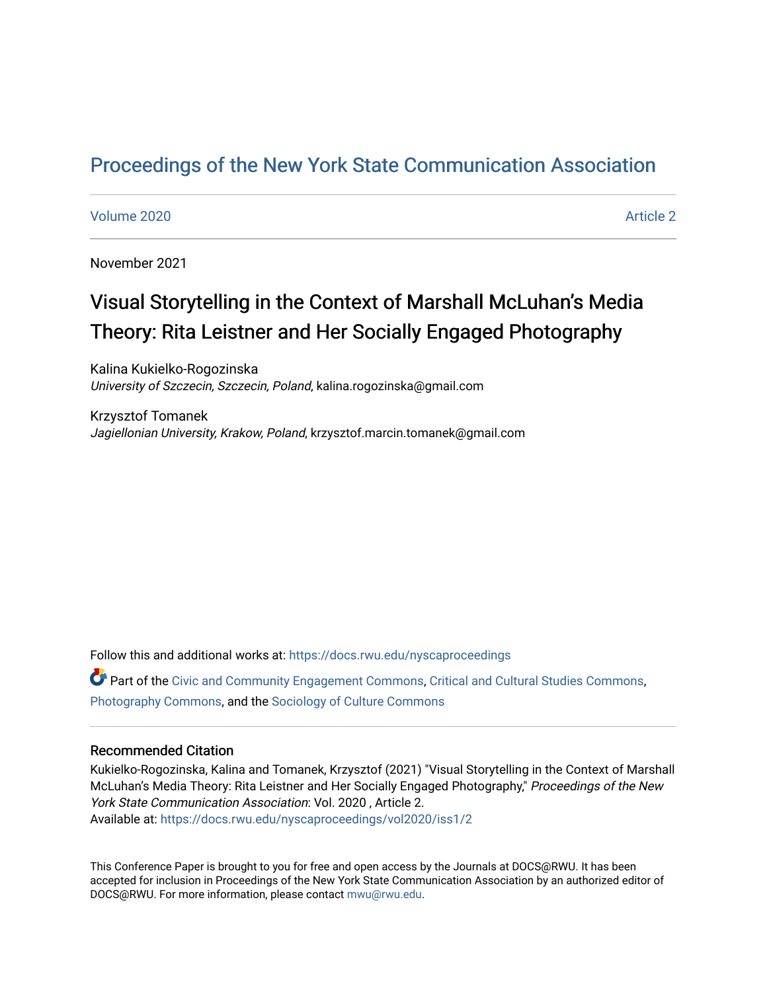## [Proceedings of the New York State Communication Association](https://docs.rwu.edu/nyscaproceedings)

#### [Volume 2020](https://docs.rwu.edu/nyscaproceedings/vol2020) **Article 2** Article 2

November 2021

# Visual Storytelling in the Context of Marshall McLuhan's Media Theory: Rita Leistner and Her Socially Engaged Photography

Kalina Kukielko-Rogozinska University of Szczecin, Szczecin, Poland, kalina.rogozinska@gmail.com

Krzysztof Tomanek Jagiellonian University, Krakow, Poland, krzysztof.marcin.tomanek@gmail.com

Follow this and additional works at: [https://docs.rwu.edu/nyscaproceedings](https://docs.rwu.edu/nyscaproceedings?utm_source=docs.rwu.edu%2Fnyscaproceedings%2Fvol2020%2Fiss1%2F2&utm_medium=PDF&utm_campaign=PDFCoverPages)

Part of the [Civic and Community Engagement Commons](http://network.bepress.com/hgg/discipline/1028?utm_source=docs.rwu.edu%2Fnyscaproceedings%2Fvol2020%2Fiss1%2F2&utm_medium=PDF&utm_campaign=PDFCoverPages), [Critical and Cultural Studies Commons](http://network.bepress.com/hgg/discipline/328?utm_source=docs.rwu.edu%2Fnyscaproceedings%2Fvol2020%2Fiss1%2F2&utm_medium=PDF&utm_campaign=PDFCoverPages), [Photography Commons](http://network.bepress.com/hgg/discipline/1142?utm_source=docs.rwu.edu%2Fnyscaproceedings%2Fvol2020%2Fiss1%2F2&utm_medium=PDF&utm_campaign=PDFCoverPages), and the [Sociology of Culture Commons](http://network.bepress.com/hgg/discipline/431?utm_source=docs.rwu.edu%2Fnyscaproceedings%2Fvol2020%2Fiss1%2F2&utm_medium=PDF&utm_campaign=PDFCoverPages)

#### Recommended Citation

Kukielko-Rogozinska, Kalina and Tomanek, Krzysztof (2021) "Visual Storytelling in the Context of Marshall McLuhan's Media Theory: Rita Leistner and Her Socially Engaged Photography," Proceedings of the New York State Communication Association: Vol. 2020 , Article 2. Available at: [https://docs.rwu.edu/nyscaproceedings/vol2020/iss1/2](https://docs.rwu.edu/nyscaproceedings/vol2020/iss1/2?utm_source=docs.rwu.edu%2Fnyscaproceedings%2Fvol2020%2Fiss1%2F2&utm_medium=PDF&utm_campaign=PDFCoverPages)

This Conference Paper is brought to you for free and open access by the Journals at DOCS@RWU. It has been accepted for inclusion in Proceedings of the New York State Communication Association by an authorized editor of DOCS@RWU. For more information, please contact [mwu@rwu.edu.](mailto:mwu@rwu.edu)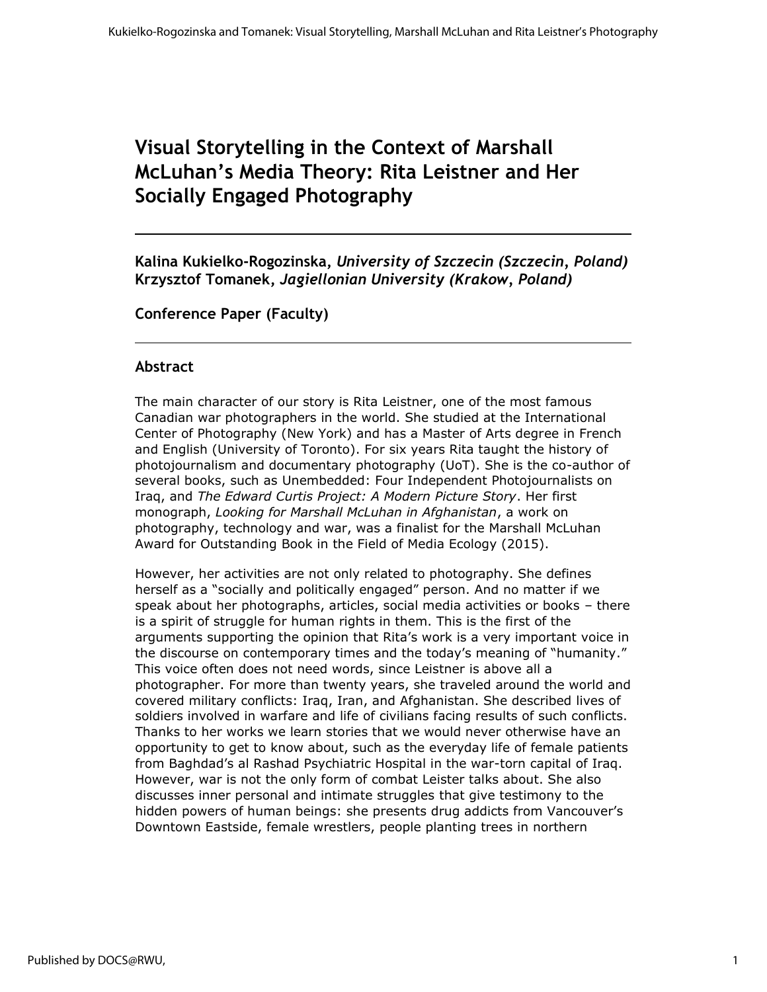## **Visual Storytelling in the Context of Marshall McLuhan's Media Theory: Rita Leistner and Her Socially Engaged Photography**

**Kalina Kukielko-Rogozinska,** *University of Szczecin (Szczecin, Poland)* **Krzysztof Tomanek,** *Jagiellonian University (Krakow, Poland)*

**Conference Paper (Faculty)**

## **Abstract**

The main character of our story is Rita Leistner, one of the most famous Canadian war photographers in the world. She studied at the International Center of Photography (New York) and has a Master of Arts degree in French and English (University of Toronto). For six years Rita taught the history of photojournalism and documentary photography (UoT). She is the co-author of several books, such as Unembedded: Four Independent Photojournalists on Iraq, and *The Edward Curtis Project: A Modern Picture Story*. Her first monograph, *Looking for Marshall McLuhan in Afghanistan*, a work on photography, technology and war, was a finalist for the Marshall McLuhan Award for Outstanding Book in the Field of Media Ecology (2015).

However, her activities are not only related to photography. She defines herself as a "socially and politically engaged" person. And no matter if we speak about her photographs, articles, social media activities or books – there is a spirit of struggle for human rights in them. This is the first of the arguments supporting the opinion that Rita's work is a very important voice in the discourse on contemporary times and the today's meaning of "humanity." This voice often does not need words, since Leistner is above all a photographer. For more than twenty years, she traveled around the world and covered military conflicts: Iraq, Iran, and Afghanistan. She described lives of soldiers involved in warfare and life of civilians facing results of such conflicts. Thanks to her works we learn stories that we would never otherwise have an opportunity to get to know about, such as the everyday life of female patients from Baghdad's al Rashad Psychiatric Hospital in the war-torn capital of Iraq. However, war is not the only form of combat Leister talks about. She also discusses inner personal and intimate struggles that give testimony to the hidden powers of human beings: she presents drug addicts from Vancouver's Downtown Eastside, female wrestlers, people planting trees in northern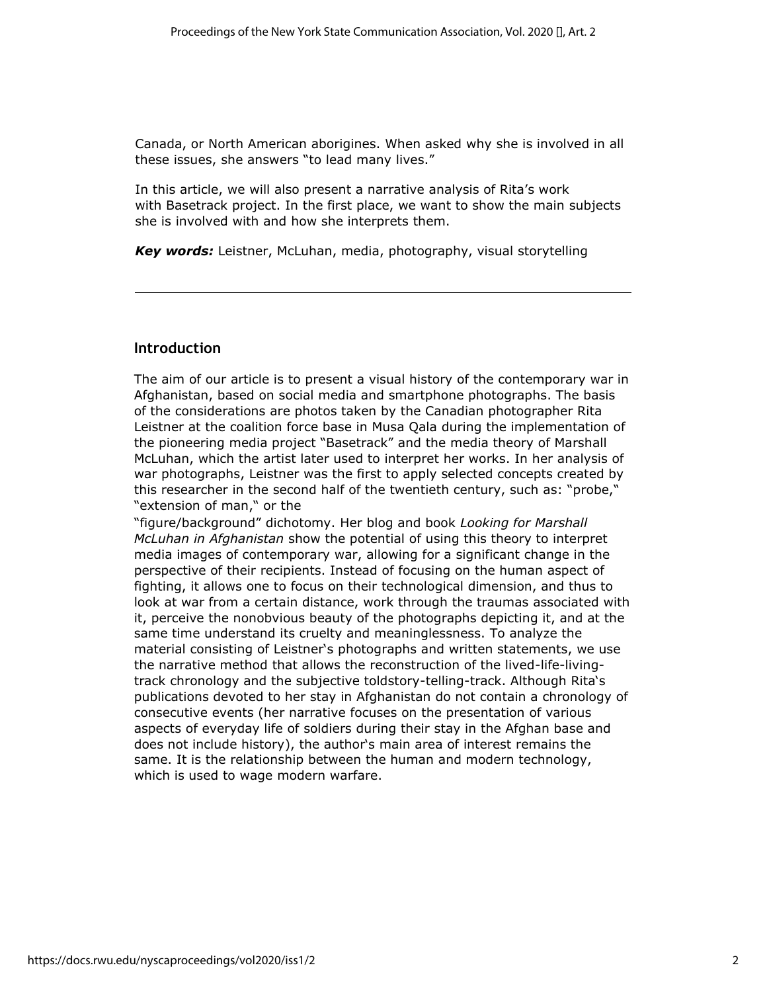Canada, or North American aborigines. When asked why she is involved in all these issues, she answers "to lead many lives."

In this article, we will also present a narrative analysis of Rita's work with Basetrack project. In the first place, we want to show the main subjects she is involved with and how she interprets them.

*Key words:* Leistner, McLuhan, media, photography, visual storytelling

## **Introduction**

The aim of our article is to present a visual history of the contemporary war in Afghanistan, based on social media and smartphone photographs. The basis of the considerations are photos taken by the Canadian photographer Rita Leistner at the coalition force base in Musa Qala during the implementation of the pioneering media project "Basetrack" and the media theory of Marshall McLuhan, which the artist later used to interpret her works. In her analysis of war photographs, Leistner was the first to apply selected concepts created by this researcher in the second half of the twentieth century, such as: "probe," "extension of man," or the

"figure/background" dichotomy. Her blog and book *Looking for Marshall McLuhan in Afghanistan* show the potential of using this theory to interpret media images of contemporary war, allowing for a significant change in the perspective of their recipients. Instead of focusing on the human aspect of fighting, it allows one to focus on their technological dimension, and thus to look at war from a certain distance, work through the traumas associated with it, perceive the nonobvious beauty of the photographs depicting it, and at the same time understand its cruelty and meaninglessness. To analyze the material consisting of Leistner's photographs and written statements, we use the narrative method that allows the reconstruction of the lived-life-livingtrack chronology and the subjective toldstory-telling-track. Although Rita's publications devoted to her stay in Afghanistan do not contain a chronology of consecutive events (her narrative focuses on the presentation of various aspects of everyday life of soldiers during their stay in the Afghan base and does not include history), the author's main area of interest remains the same. It is the relationship between the human and modern technology, which is used to wage modern warfare.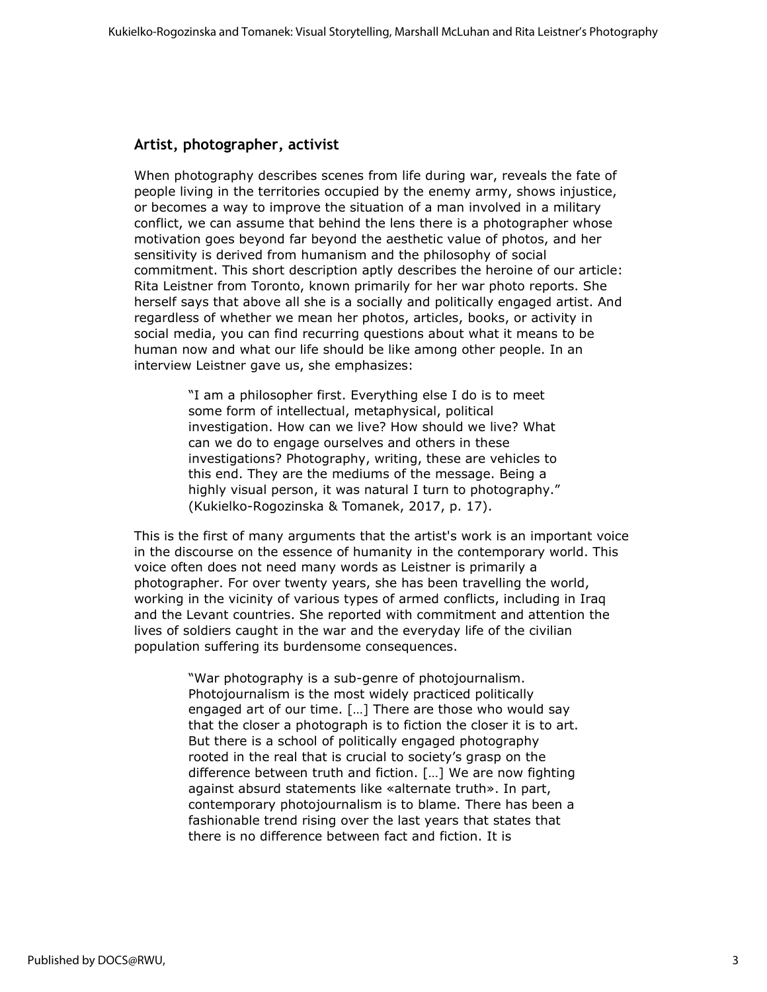## **Artist, photographer, activist**

When photography describes scenes from life during war, reveals the fate of people living in the territories occupied by the enemy army, shows injustice, or becomes a way to improve the situation of a man involved in a military conflict, we can assume that behind the lens there is a photographer whose motivation goes beyond far beyond the aesthetic value of photos, and her sensitivity is derived from humanism and the philosophy of social commitment. This short description aptly describes the heroine of our article: Rita Leistner from Toronto, known primarily for her war photo reports. She herself says that above all she is a socially and politically engaged artist. And regardless of whether we mean her photos, articles, books, or activity in social media, you can find recurring questions about what it means to be human now and what our life should be like among other people. In an interview Leistner gave us, she emphasizes:

> "I am a philosopher first. Everything else I do is to meet some form of intellectual, metaphysical, political investigation. How can we live? How should we live? What can we do to engage ourselves and others in these investigations? Photography, writing, these are vehicles to this end. They are the mediums of the message. Being a highly visual person, it was natural I turn to photography." (Kukielko-Rogozinska & Tomanek, 2017, p. 17).

This is the first of many arguments that the artist's work is an important voice in the discourse on the essence of humanity in the contemporary world. This voice often does not need many words as Leistner is primarily a photographer. For over twenty years, she has been travelling the world, working in the vicinity of various types of armed conflicts, including in Iraq and the Levant countries. She reported with commitment and attention the lives of soldiers caught in the war and the everyday life of the civilian population suffering its burdensome consequences.

> "War photography is a sub-genre of photojournalism. Photojournalism is the most widely practiced politically engaged art of our time. […] There are those who would say that the closer a photograph is to fiction the closer it is to art. But there is a school of politically engaged photography rooted in the real that is crucial to society's grasp on the difference between truth and fiction. […] We are now fighting against absurd statements like «alternate truth». In part, contemporary photojournalism is to blame. There has been a fashionable trend rising over the last years that states that there is no difference between fact and fiction. It is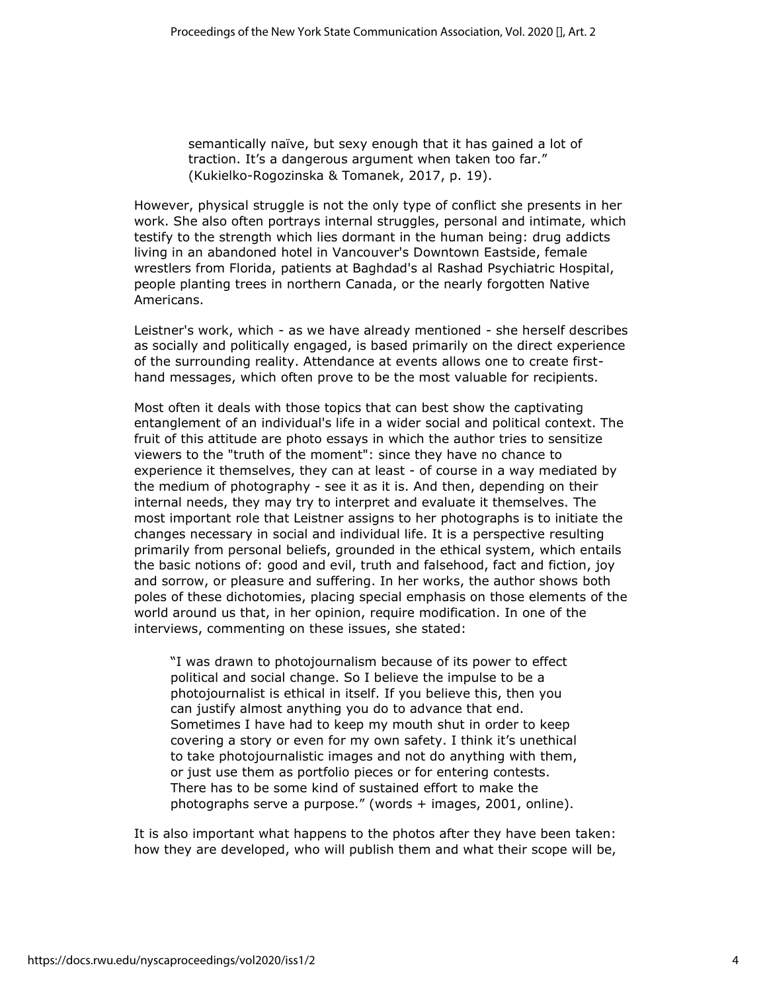semantically naïve, but sexy enough that it has gained a lot of traction. It's a dangerous argument when taken too far." (Kukielko-Rogozinska & Tomanek, 2017, p. 19).

However, physical struggle is not the only type of conflict she presents in her work. She also often portrays internal struggles, personal and intimate, which testify to the strength which lies dormant in the human being: drug addicts living in an abandoned hotel in Vancouver's Downtown Eastside, female wrestlers from Florida, patients at Baghdad's al Rashad Psychiatric Hospital, people planting trees in northern Canada, or the nearly forgotten Native Americans.

Leistner's work, which - as we have already mentioned - she herself describes as socially and politically engaged, is based primarily on the direct experience of the surrounding reality. Attendance at events allows one to create firsthand messages, which often prove to be the most valuable for recipients.

Most often it deals with those topics that can best show the captivating entanglement of an individual's life in a wider social and political context. The fruit of this attitude are photo essays in which the author tries to sensitize viewers to the "truth of the moment": since they have no chance to experience it themselves, they can at least - of course in a way mediated by the medium of photography - see it as it is. And then, depending on their internal needs, they may try to interpret and evaluate it themselves. The most important role that Leistner assigns to her photographs is to initiate the changes necessary in social and individual life. It is a perspective resulting primarily from personal beliefs, grounded in the ethical system, which entails the basic notions of: good and evil, truth and falsehood, fact and fiction, joy and sorrow, or pleasure and suffering. In her works, the author shows both poles of these dichotomies, placing special emphasis on those elements of the world around us that, in her opinion, require modification. In one of the interviews, commenting on these issues, she stated:

"I was drawn to photojournalism because of its power to effect political and social change. So I believe the impulse to be a photojournalist is ethical in itself. If you believe this, then you can justify almost anything you do to advance that end. Sometimes I have had to keep my mouth shut in order to keep covering a story or even for my own safety. I think it's unethical to take photojournalistic images and not do anything with them, or just use them as portfolio pieces or for entering contests. There has to be some kind of sustained effort to make the photographs serve a purpose." (words + images, 2001, online).

It is also important what happens to the photos after they have been taken: how they are developed, who will publish them and what their scope will be,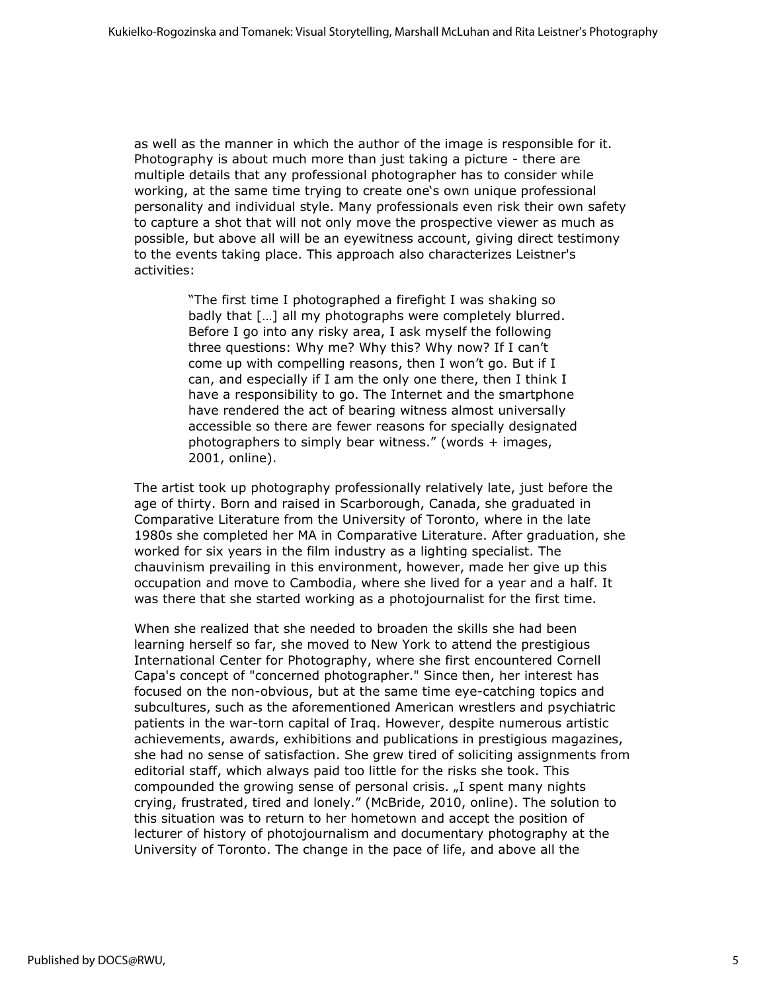as well as the manner in which the author of the image is responsible for it. Photography is about much more than just taking a picture - there are multiple details that any professional photographer has to consider while working, at the same time trying to create one's own unique professional personality and individual style. Many professionals even risk their own safety to capture a shot that will not only move the prospective viewer as much as possible, but above all will be an eyewitness account, giving direct testimony to the events taking place. This approach also characterizes Leistner's activities:

> "The first time I photographed a firefight I was shaking so badly that […] all my photographs were completely blurred. Before I go into any risky area, I ask myself the following three questions: Why me? Why this? Why now? If I can't come up with compelling reasons, then I won't go. But if I can, and especially if I am the only one there, then I think I have a responsibility to go. The Internet and the smartphone have rendered the act of bearing witness almost universally accessible so there are fewer reasons for specially designated photographers to simply bear witness." (words + images, 2001, online).

The artist took up photography professionally relatively late, just before the age of thirty. Born and raised in Scarborough, Canada, she graduated in Comparative Literature from the University of Toronto, where in the late 1980s she completed her MA in Comparative Literature. After graduation, she worked for six years in the film industry as a lighting specialist. The chauvinism prevailing in this environment, however, made her give up this occupation and move to Cambodia, where she lived for a year and a half. It was there that she started working as a photojournalist for the first time.

When she realized that she needed to broaden the skills she had been learning herself so far, she moved to New York to attend the prestigious International Center for Photography, where she first encountered Cornell Capa's concept of "concerned photographer." Since then, her interest has focused on the non-obvious, but at the same time eye-catching topics and subcultures, such as the aforementioned American wrestlers and psychiatric patients in the war-torn capital of Iraq. However, despite numerous artistic achievements, awards, exhibitions and publications in prestigious magazines, she had no sense of satisfaction. She grew tired of soliciting assignments from editorial staff, which always paid too little for the risks she took. This compounded the growing sense of personal crisis. "I spent many nights crying, frustrated, tired and lonely." (McBride, 2010, online). The solution to this situation was to return to her hometown and accept the position of lecturer of history of photojournalism and documentary photography at the University of Toronto. The change in the pace of life, and above all the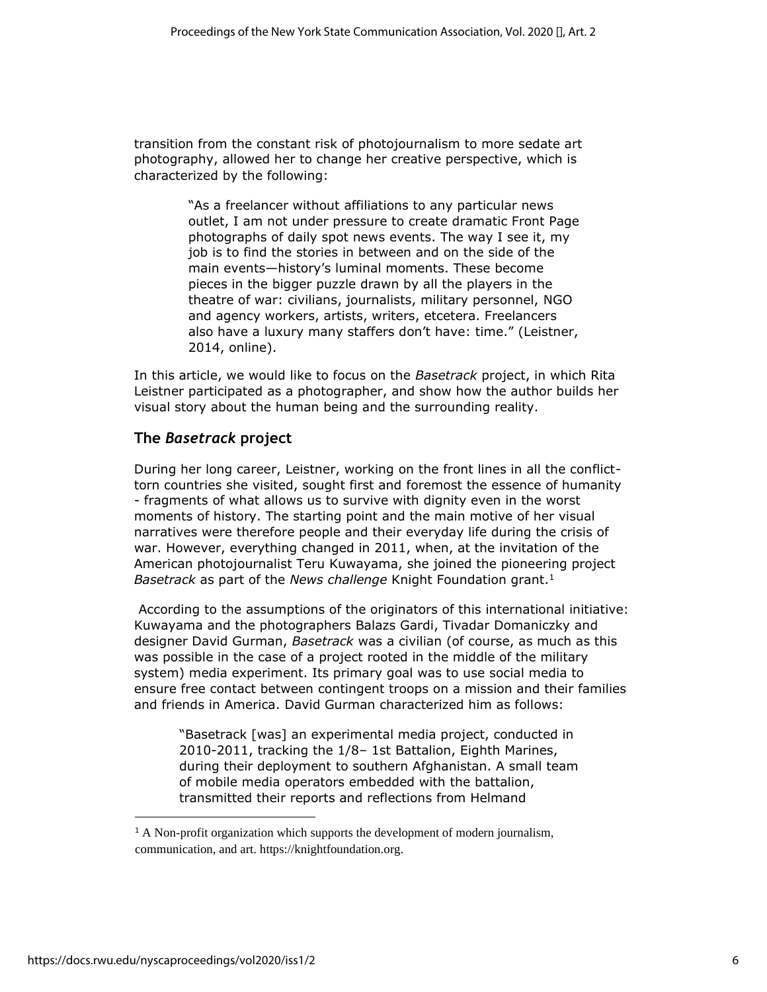transition from the constant risk of photojournalism to more sedate art photography, allowed her to change her creative perspective, which is characterized by the following:

> "As a freelancer without affiliations to any particular news outlet, I am not under pressure to create dramatic Front Page photographs of daily spot news events. The way I see it, my job is to find the stories in between and on the side of the main events—history's luminal moments. These become pieces in the bigger puzzle drawn by all the players in the theatre of war: civilians, journalists, military personnel, NGO and agency workers, artists, writers, etcetera. Freelancers also have a luxury many staffers don't have: time." (Leistner, 2014, online).

In this article, we would like to focus on the *Basetrack* project, in which Rita Leistner participated as a photographer, and show how the author builds her visual story about the human being and the surrounding reality.

## **The** *Basetrack* **project**

During her long career, Leistner, working on the front lines in all the conflicttorn countries she visited, sought first and foremost the essence of humanity - fragments of what allows us to survive with dignity even in the worst moments of history. The starting point and the main motive of her visual narratives were therefore people and their everyday life during the crisis of war. However, everything changed in 2011, when, at the invitation of the American photojournalist Teru Kuwayama, she joined the pioneering project *Basetrack* as part of the *News challenge* Knight Foundation grant.<sup>1</sup>

According to the assumptions of the originators of this international initiative: Kuwayama and the photographers Balazs Gardi, Tivadar Domaniczky and designer David Gurman, *Basetrack* was a civilian (of course, as much as this was possible in the case of a project rooted in the middle of the military system) media experiment. Its primary goal was to use social media to ensure free contact between contingent troops on a mission and their families and friends in America. David Gurman characterized him as follows:

"Basetrack [was] an experimental media project, conducted in 2010-2011, tracking the 1/8– 1st Battalion, Eighth Marines, during their deployment to southern Afghanistan. A small team of mobile media operators embedded with the battalion, transmitted their reports and reflections from Helmand

<sup>&</sup>lt;sup>1</sup> A Non-profit organization which supports the development of modern journalism, communication, and art. https://knightfoundation.org.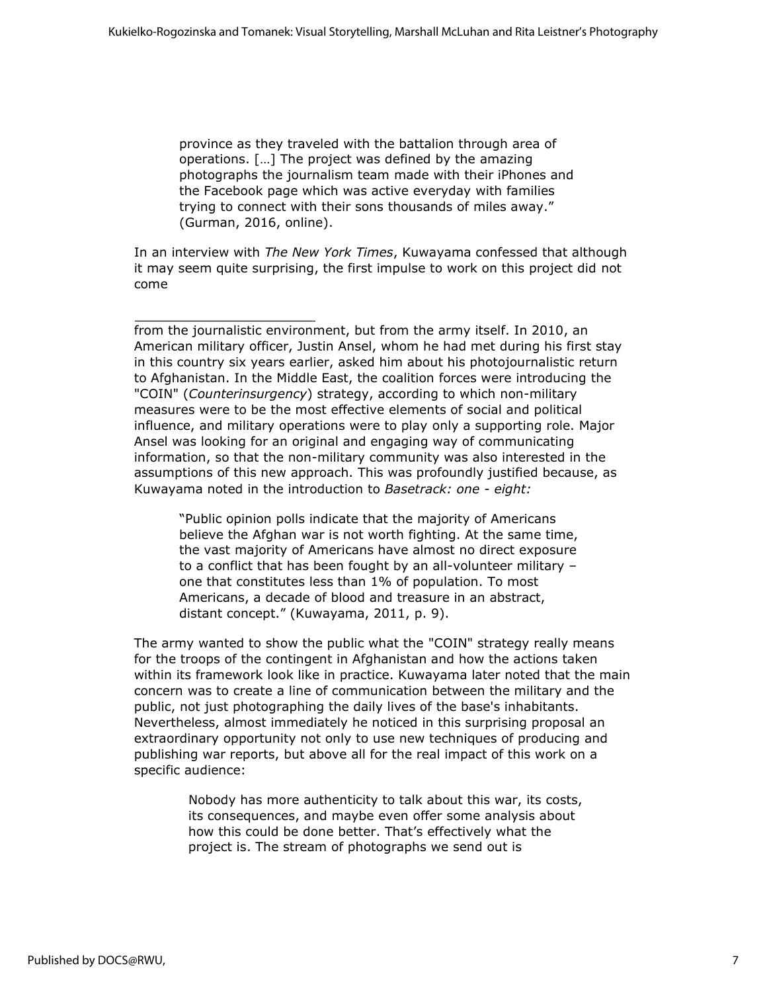province as they traveled with the battalion through area of operations. […] The project was defined by the amazing photographs the journalism team made with their iPhones and the Facebook page which was active everyday with families trying to connect with their sons thousands of miles away." (Gurman, 2016, online).

In an interview with *The New York Times*, Kuwayama confessed that although it may seem quite surprising, the first impulse to work on this project did not come

from the journalistic environment, but from the army itself. In 2010, an American military officer, Justin Ansel, whom he had met during his first stay in this country six years earlier, asked him about his photojournalistic return to Afghanistan. In the Middle East, the coalition forces were introducing the "COIN" (*Counterinsurgency*) strategy, according to which non-military measures were to be the most effective elements of social and political influence, and military operations were to play only a supporting role. Major Ansel was looking for an original and engaging way of communicating information, so that the non-military community was also interested in the assumptions of this new approach. This was profoundly justified because, as Kuwayama noted in the introduction to *Basetrack: one - eight:*

"Public opinion polls indicate that the majority of Americans believe the Afghan war is not worth fighting. At the same time, the vast majority of Americans have almost no direct exposure to a conflict that has been fought by an all-volunteer military – one that constitutes less than 1% of population. To most Americans, a decade of blood and treasure in an abstract, distant concept." (Kuwayama, 2011, p. 9).

The army wanted to show the public what the "COIN" strategy really means for the troops of the contingent in Afghanistan and how the actions taken within its framework look like in practice. Kuwayama later noted that the main concern was to create a line of communication between the military and the public, not just photographing the daily lives of the base's inhabitants. Nevertheless, almost immediately he noticed in this surprising proposal an extraordinary opportunity not only to use new techniques of producing and publishing war reports, but above all for the real impact of this work on a specific audience:

> Nobody has more authenticity to talk about this war, its costs, its consequences, and maybe even offer some analysis about how this could be done better. That's effectively what the project is. The stream of photographs we send out is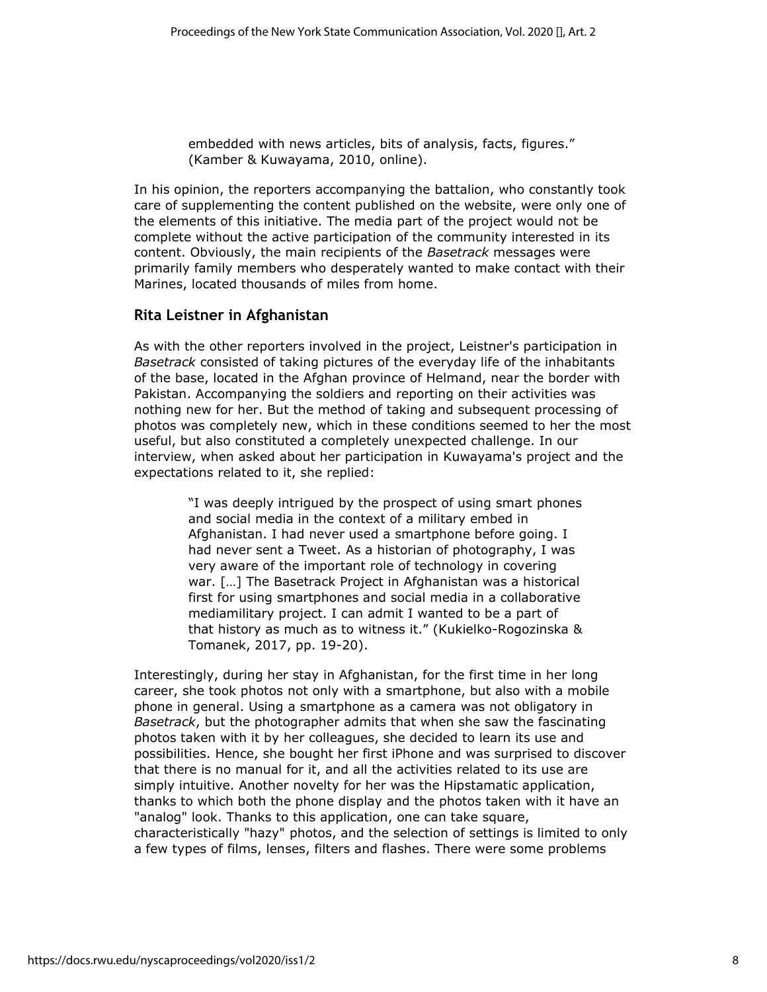embedded with news articles, bits of analysis, facts, figures." (Kamber & Kuwayama, 2010, online).

In his opinion, the reporters accompanying the battalion, who constantly took care of supplementing the content published on the website, were only one of the elements of this initiative. The media part of the project would not be complete without the active participation of the community interested in its content. Obviously, the main recipients of the *Basetrack* messages were primarily family members who desperately wanted to make contact with their Marines, located thousands of miles from home.

## **Rita Leistner in Afghanistan**

As with the other reporters involved in the project, Leistner's participation in *Basetrack* consisted of taking pictures of the everyday life of the inhabitants of the base, located in the Afghan province of Helmand, near the border with Pakistan. Accompanying the soldiers and reporting on their activities was nothing new for her. But the method of taking and subsequent processing of photos was completely new, which in these conditions seemed to her the most useful, but also constituted a completely unexpected challenge. In our interview, when asked about her participation in Kuwayama's project and the expectations related to it, she replied:

> "I was deeply intrigued by the prospect of using smart phones and social media in the context of a military embed in Afghanistan. I had never used a smartphone before going. I had never sent a Tweet. As a historian of photography, I was very aware of the important role of technology in covering war. […] The Basetrack Project in Afghanistan was a historical first for using smartphones and social media in a collaborative mediamilitary project. I can admit I wanted to be a part of that history as much as to witness it." (Kukielko-Rogozinska & Tomanek, 2017, pp. 19-20).

Interestingly, during her stay in Afghanistan, for the first time in her long career, she took photos not only with a smartphone, but also with a mobile phone in general. Using a smartphone as a camera was not obligatory in *Basetrack*, but the photographer admits that when she saw the fascinating photos taken with it by her colleagues, she decided to learn its use and possibilities. Hence, she bought her first iPhone and was surprised to discover that there is no manual for it, and all the activities related to its use are simply intuitive. Another novelty for her was the Hipstamatic application, thanks to which both the phone display and the photos taken with it have an "analog" look. Thanks to this application, one can take square, characteristically "hazy" photos, and the selection of settings is limited to only a few types of films, lenses, filters and flashes. There were some problems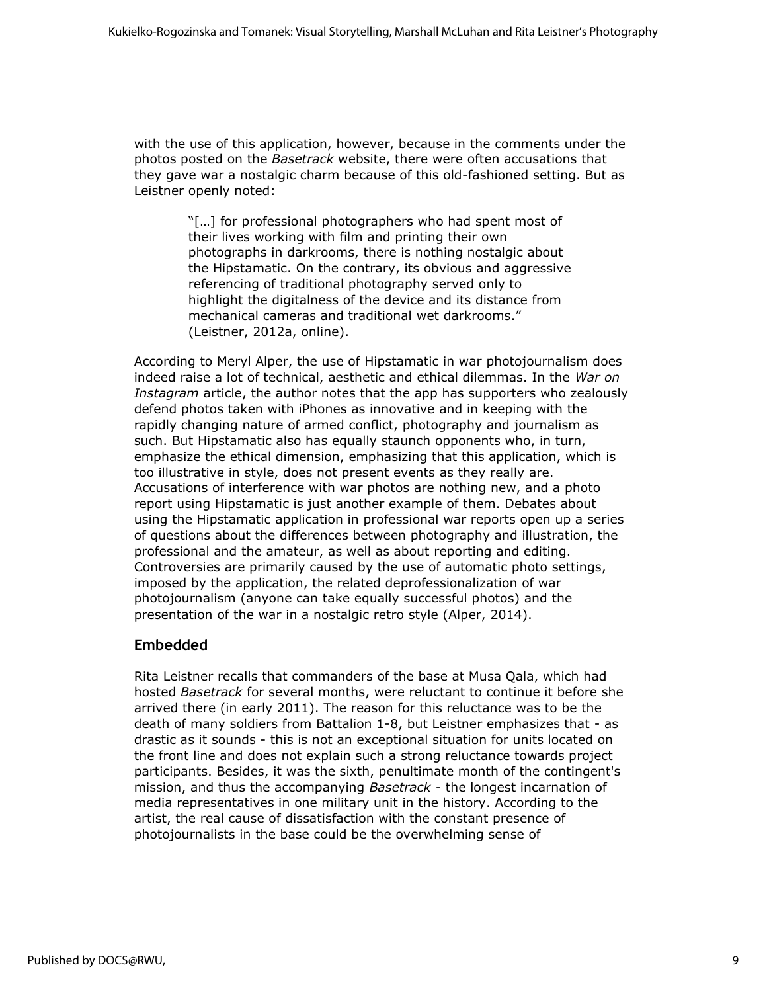with the use of this application, however, because in the comments under the photos posted on the *Basetrack* website, there were often accusations that they gave war a nostalgic charm because of this old-fashioned setting. But as Leistner openly noted:

> "[…] for professional photographers who had spent most of their lives working with film and printing their own photographs in darkrooms, there is nothing nostalgic about the Hipstamatic. On the contrary, its obvious and aggressive referencing of traditional photography served only to highlight the digitalness of the device and its distance from mechanical cameras and traditional wet darkrooms." (Leistner, 2012a, online).

According to Meryl Alper, the use of Hipstamatic in war photojournalism does indeed raise a lot of technical, aesthetic and ethical dilemmas. In the *War on Instagram* article, the author notes that the app has supporters who zealously defend photos taken with iPhones as innovative and in keeping with the rapidly changing nature of armed conflict, photography and journalism as such. But Hipstamatic also has equally staunch opponents who, in turn, emphasize the ethical dimension, emphasizing that this application, which is too illustrative in style, does not present events as they really are. Accusations of interference with war photos are nothing new, and a photo report using Hipstamatic is just another example of them. Debates about using the Hipstamatic application in professional war reports open up a series of questions about the differences between photography and illustration, the professional and the amateur, as well as about reporting and editing. Controversies are primarily caused by the use of automatic photo settings, imposed by the application, the related deprofessionalization of war photojournalism (anyone can take equally successful photos) and the presentation of the war in a nostalgic retro style (Alper, 2014).

#### **Embedded**

Rita Leistner recalls that commanders of the base at Musa Qala, which had hosted *Basetrack* for several months, were reluctant to continue it before she arrived there (in early 2011). The reason for this reluctance was to be the death of many soldiers from Battalion 1-8, but Leistner emphasizes that - as drastic as it sounds - this is not an exceptional situation for units located on the front line and does not explain such a strong reluctance towards project participants. Besides, it was the sixth, penultimate month of the contingent's mission, and thus the accompanying *Basetrack* - the longest incarnation of media representatives in one military unit in the history. According to the artist, the real cause of dissatisfaction with the constant presence of photojournalists in the base could be the overwhelming sense of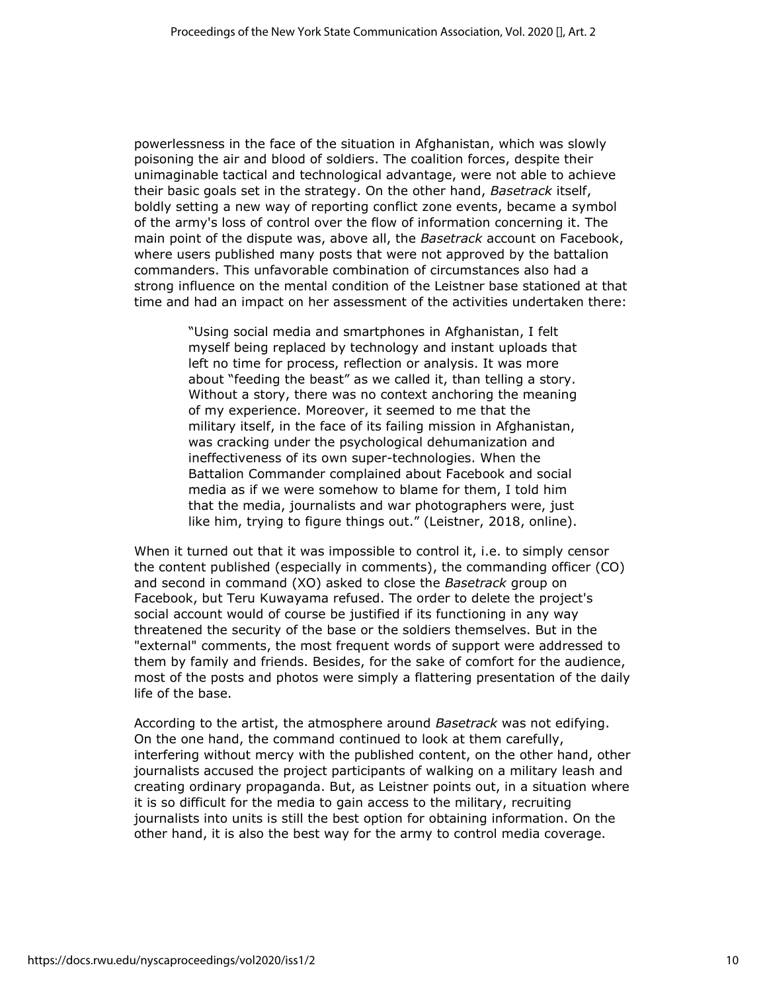powerlessness in the face of the situation in Afghanistan, which was slowly poisoning the air and blood of soldiers. The coalition forces, despite their unimaginable tactical and technological advantage, were not able to achieve their basic goals set in the strategy. On the other hand, *Basetrack* itself, boldly setting a new way of reporting conflict zone events, became a symbol of the army's loss of control over the flow of information concerning it. The main point of the dispute was, above all, the *Basetrack* account on Facebook, where users published many posts that were not approved by the battalion commanders. This unfavorable combination of circumstances also had a strong influence on the mental condition of the Leistner base stationed at that time and had an impact on her assessment of the activities undertaken there:

> "Using social media and smartphones in Afghanistan, I felt myself being replaced by technology and instant uploads that left no time for process, reflection or analysis. It was more about "feeding the beast" as we called it, than telling a story. Without a story, there was no context anchoring the meaning of my experience. Moreover, it seemed to me that the military itself, in the face of its failing mission in Afghanistan, was cracking under the psychological dehumanization and ineffectiveness of its own super-technologies. When the Battalion Commander complained about Facebook and social media as if we were somehow to blame for them, I told him that the media, journalists and war photographers were, just like him, trying to figure things out." (Leistner, 2018, online).

When it turned out that it was impossible to control it, i.e. to simply censor the content published (especially in comments), the commanding officer (CO) and second in command (XO) asked to close the *Basetrack* group on Facebook, but Teru Kuwayama refused. The order to delete the project's social account would of course be justified if its functioning in any way threatened the security of the base or the soldiers themselves. But in the "external" comments, the most frequent words of support were addressed to them by family and friends. Besides, for the sake of comfort for the audience, most of the posts and photos were simply a flattering presentation of the daily life of the base.

According to the artist, the atmosphere around *Basetrack* was not edifying. On the one hand, the command continued to look at them carefully, interfering without mercy with the published content, on the other hand, other journalists accused the project participants of walking on a military leash and creating ordinary propaganda. But, as Leistner points out, in a situation where it is so difficult for the media to gain access to the military, recruiting journalists into units is still the best option for obtaining information. On the other hand, it is also the best way for the army to control media coverage.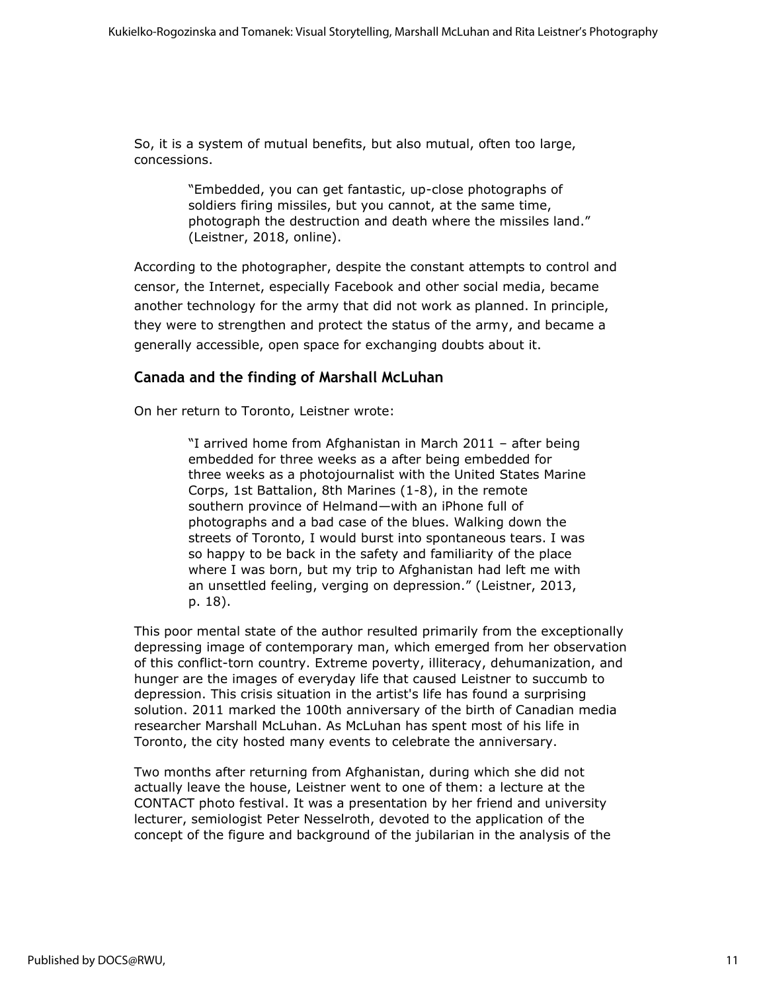So, it is a system of mutual benefits, but also mutual, often too large, concessions.

> "Embedded, you can get fantastic, up-close photographs of soldiers firing missiles, but you cannot, at the same time, photograph the destruction and death where the missiles land." (Leistner, 2018, online).

According to the photographer, despite the constant attempts to control and censor, the Internet, especially Facebook and other social media, became another technology for the army that did not work as planned. In principle, they were to strengthen and protect the status of the army, and became a generally accessible, open space for exchanging doubts about it.

## **Canada and the finding of Marshall McLuhan**

On her return to Toronto, Leistner wrote:

"I arrived home from Afghanistan in March 2011 – after being embedded for three weeks as a after being embedded for three weeks as a photojournalist with the United States Marine Corps, 1st Battalion, 8th Marines (1-8), in the remote southern province of Helmand—with an iPhone full of photographs and a bad case of the blues. Walking down the streets of Toronto, I would burst into spontaneous tears. I was so happy to be back in the safety and familiarity of the place where I was born, but my trip to Afghanistan had left me with an unsettled feeling, verging on depression." (Leistner, 2013, p. 18).

This poor mental state of the author resulted primarily from the exceptionally depressing image of contemporary man, which emerged from her observation of this conflict-torn country. Extreme poverty, illiteracy, dehumanization, and hunger are the images of everyday life that caused Leistner to succumb to depression. This crisis situation in the artist's life has found a surprising solution. 2011 marked the 100th anniversary of the birth of Canadian media researcher Marshall McLuhan. As McLuhan has spent most of his life in Toronto, the city hosted many events to celebrate the anniversary.

Two months after returning from Afghanistan, during which she did not actually leave the house, Leistner went to one of them: a lecture at the CONTACT photo festival. It was a presentation by her friend and university lecturer, semiologist Peter Nesselroth, devoted to the application of the concept of the figure and background of the jubilarian in the analysis of the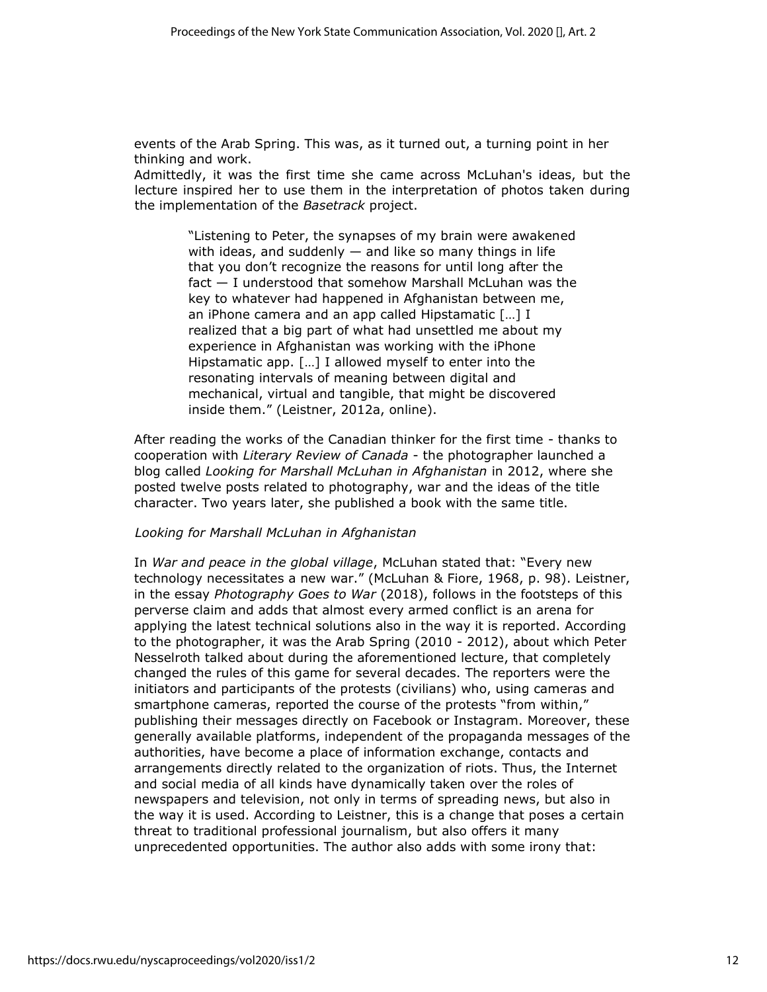events of the Arab Spring. This was, as it turned out, a turning point in her thinking and work.

Admittedly, it was the first time she came across McLuhan's ideas, but the lecture inspired her to use them in the interpretation of photos taken during the implementation of the *Basetrack* project.

> "Listening to Peter, the synapses of my brain were awakened with ideas, and suddenly  $-$  and like so many things in life that you don't recognize the reasons for until long after the fact — I understood that somehow Marshall McLuhan was the key to whatever had happened in Afghanistan between me, an iPhone camera and an app called Hipstamatic […] I realized that a big part of what had unsettled me about my experience in Afghanistan was working with the iPhone Hipstamatic app. […] I allowed myself to enter into the resonating intervals of meaning between digital and mechanical, virtual and tangible, that might be discovered inside them." (Leistner, 2012a, online).

After reading the works of the Canadian thinker for the first time - thanks to cooperation with *Literary Review of Canada* - the photographer launched a blog called *Looking for Marshall McLuhan in Afghanistan* in 2012, where she posted twelve posts related to photography, war and the ideas of the title character. Two years later, she published a book with the same title.

#### *Looking for Marshall McLuhan in Afghanistan*

In *War and peace in the global village*, McLuhan stated that: "Every new technology necessitates a new war." (McLuhan & Fiore, 1968, p. 98). Leistner, in the essay *Photography Goes to War* (2018), follows in the footsteps of this perverse claim and adds that almost every armed conflict is an arena for applying the latest technical solutions also in the way it is reported. According to the photographer, it was the Arab Spring (2010 - 2012), about which Peter Nesselroth talked about during the aforementioned lecture, that completely changed the rules of this game for several decades. The reporters were the initiators and participants of the protests (civilians) who, using cameras and smartphone cameras, reported the course of the protests "from within," publishing their messages directly on Facebook or Instagram. Moreover, these generally available platforms, independent of the propaganda messages of the authorities, have become a place of information exchange, contacts and arrangements directly related to the organization of riots. Thus, the Internet and social media of all kinds have dynamically taken over the roles of newspapers and television, not only in terms of spreading news, but also in the way it is used. According to Leistner, this is a change that poses a certain threat to traditional professional journalism, but also offers it many unprecedented opportunities. The author also adds with some irony that: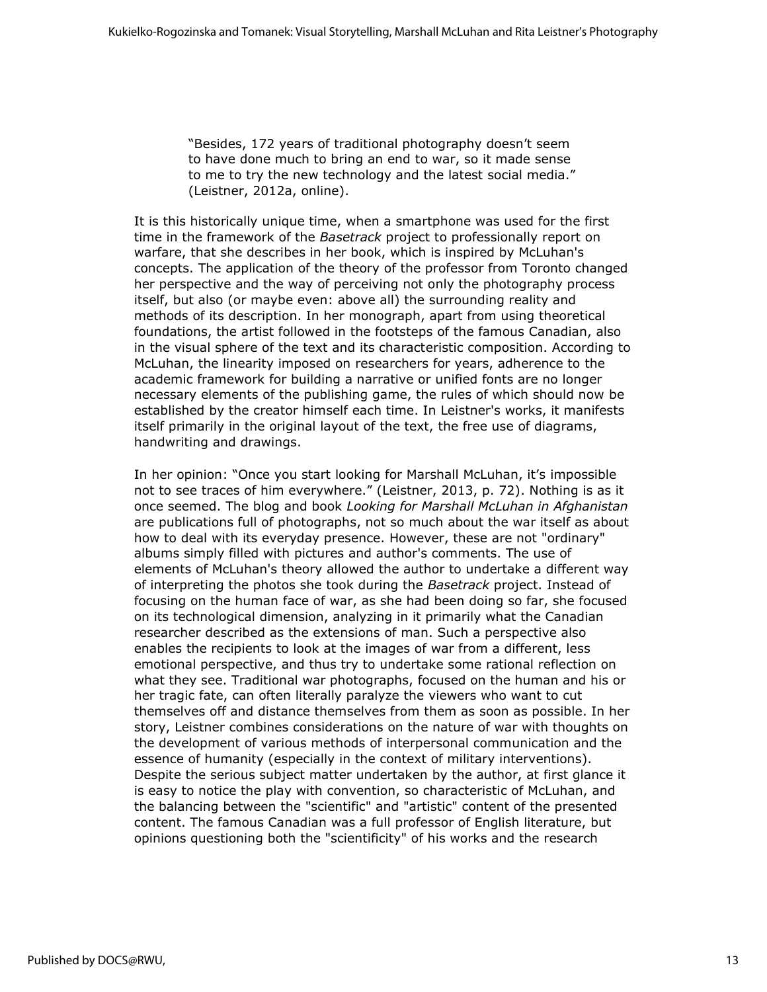"Besides, 172 years of traditional photography doesn't seem to have done much to bring an end to war, so it made sense to me to try the new technology and the latest social media." (Leistner, 2012a, online).

It is this historically unique time, when a smartphone was used for the first time in the framework of the *Basetrack* project to professionally report on warfare, that she describes in her book, which is inspired by McLuhan's concepts. The application of the theory of the professor from Toronto changed her perspective and the way of perceiving not only the photography process itself, but also (or maybe even: above all) the surrounding reality and methods of its description. In her monograph, apart from using theoretical foundations, the artist followed in the footsteps of the famous Canadian, also in the visual sphere of the text and its characteristic composition. According to McLuhan, the linearity imposed on researchers for years, adherence to the academic framework for building a narrative or unified fonts are no longer necessary elements of the publishing game, the rules of which should now be established by the creator himself each time. In Leistner's works, it manifests itself primarily in the original layout of the text, the free use of diagrams, handwriting and drawings.

In her opinion: "Once you start looking for Marshall McLuhan, it's impossible not to see traces of him everywhere." (Leistner, 2013, p. 72). Nothing is as it once seemed. The blog and book *Looking for Marshall McLuhan in Afghanistan* are publications full of photographs, not so much about the war itself as about how to deal with its everyday presence. However, these are not "ordinary" albums simply filled with pictures and author's comments. The use of elements of McLuhan's theory allowed the author to undertake a different way of interpreting the photos she took during the *Basetrack* project. Instead of focusing on the human face of war, as she had been doing so far, she focused on its technological dimension, analyzing in it primarily what the Canadian researcher described as the extensions of man. Such a perspective also enables the recipients to look at the images of war from a different, less emotional perspective, and thus try to undertake some rational reflection on what they see. Traditional war photographs, focused on the human and his or her tragic fate, can often literally paralyze the viewers who want to cut themselves off and distance themselves from them as soon as possible. In her story, Leistner combines considerations on the nature of war with thoughts on the development of various methods of interpersonal communication and the essence of humanity (especially in the context of military interventions). Despite the serious subject matter undertaken by the author, at first glance it is easy to notice the play with convention, so characteristic of McLuhan, and the balancing between the "scientific" and "artistic" content of the presented content. The famous Canadian was a full professor of English literature, but opinions questioning both the "scientificity" of his works and the research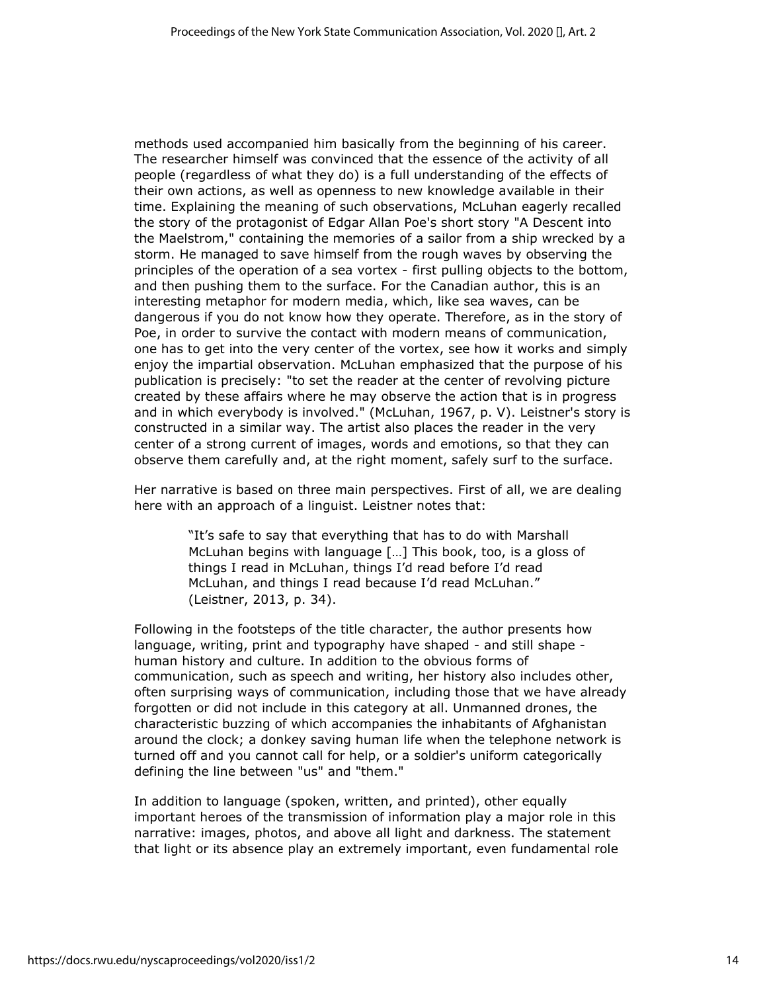methods used accompanied him basically from the beginning of his career. The researcher himself was convinced that the essence of the activity of all people (regardless of what they do) is a full understanding of the effects of their own actions, as well as openness to new knowledge available in their time. Explaining the meaning of such observations, McLuhan eagerly recalled the story of the protagonist of Edgar Allan Poe's short story "A Descent into the Maelstrom," containing the memories of a sailor from a ship wrecked by a storm. He managed to save himself from the rough waves by observing the principles of the operation of a sea vortex - first pulling objects to the bottom, and then pushing them to the surface. For the Canadian author, this is an interesting metaphor for modern media, which, like sea waves, can be dangerous if you do not know how they operate. Therefore, as in the story of Poe, in order to survive the contact with modern means of communication, one has to get into the very center of the vortex, see how it works and simply enjoy the impartial observation. McLuhan emphasized that the purpose of his publication is precisely: "to set the reader at the center of revolving picture created by these affairs where he may observe the action that is in progress and in which everybody is involved." (McLuhan, 1967, p. V). Leistner's story is constructed in a similar way. The artist also places the reader in the very center of a strong current of images, words and emotions, so that they can observe them carefully and, at the right moment, safely surf to the surface.

Her narrative is based on three main perspectives. First of all, we are dealing here with an approach of a linguist. Leistner notes that:

> "It's safe to say that everything that has to do with Marshall McLuhan begins with language […] This book, too, is a gloss of things I read in McLuhan, things I'd read before I'd read McLuhan, and things I read because I'd read McLuhan." (Leistner, 2013, p. 34).

Following in the footsteps of the title character, the author presents how language, writing, print and typography have shaped - and still shape human history and culture. In addition to the obvious forms of communication, such as speech and writing, her history also includes other, often surprising ways of communication, including those that we have already forgotten or did not include in this category at all. Unmanned drones, the characteristic buzzing of which accompanies the inhabitants of Afghanistan around the clock; a donkey saving human life when the telephone network is turned off and you cannot call for help, or a soldier's uniform categorically defining the line between "us" and "them."

In addition to language (spoken, written, and printed), other equally important heroes of the transmission of information play a major role in this narrative: images, photos, and above all light and darkness. The statement that light or its absence play an extremely important, even fundamental role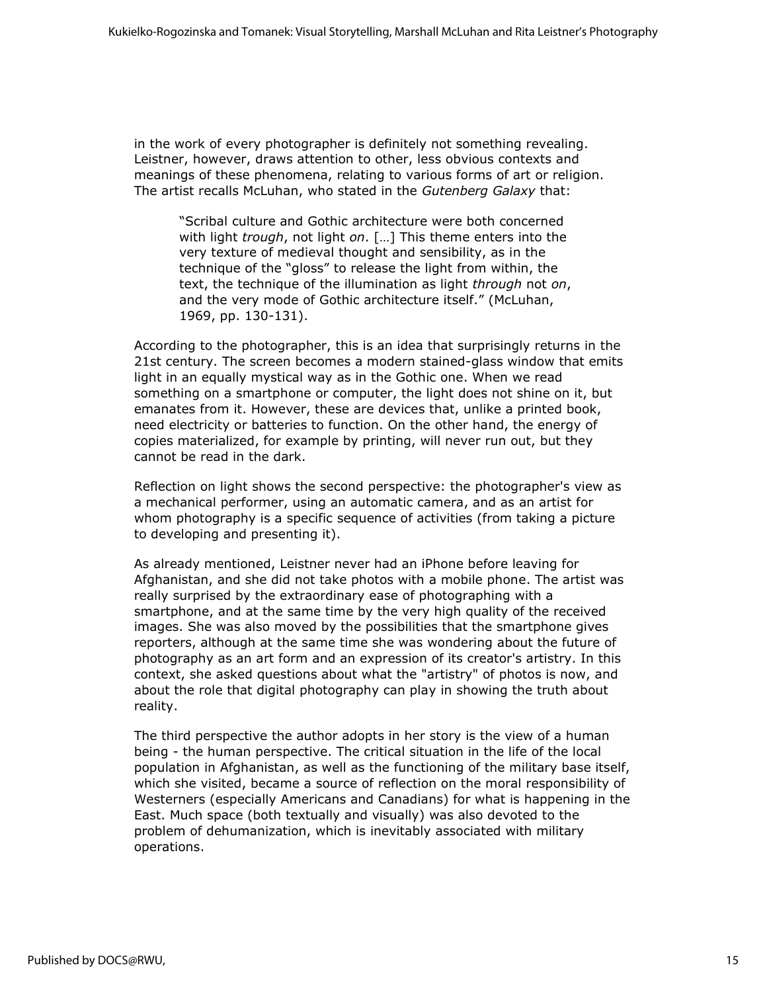in the work of every photographer is definitely not something revealing. Leistner, however, draws attention to other, less obvious contexts and meanings of these phenomena, relating to various forms of art or religion. The artist recalls McLuhan, who stated in the *Gutenberg Galaxy* that:

"Scribal culture and Gothic architecture were both concerned with light *trough*, not light *on*. […] This theme enters into the very texture of medieval thought and sensibility, as in the technique of the "gloss" to release the light from within, the text, the technique of the illumination as light *through* not *on*, and the very mode of Gothic architecture itself." (McLuhan, 1969, pp. 130-131).

According to the photographer, this is an idea that surprisingly returns in the 21st century. The screen becomes a modern stained-glass window that emits light in an equally mystical way as in the Gothic one. When we read something on a smartphone or computer, the light does not shine on it, but emanates from it. However, these are devices that, unlike a printed book, need electricity or batteries to function. On the other hand, the energy of copies materialized, for example by printing, will never run out, but they cannot be read in the dark.

Reflection on light shows the second perspective: the photographer's view as a mechanical performer, using an automatic camera, and as an artist for whom photography is a specific sequence of activities (from taking a picture to developing and presenting it).

As already mentioned, Leistner never had an iPhone before leaving for Afghanistan, and she did not take photos with a mobile phone. The artist was really surprised by the extraordinary ease of photographing with a smartphone, and at the same time by the very high quality of the received images. She was also moved by the possibilities that the smartphone gives reporters, although at the same time she was wondering about the future of photography as an art form and an expression of its creator's artistry. In this context, she asked questions about what the "artistry" of photos is now, and about the role that digital photography can play in showing the truth about reality.

The third perspective the author adopts in her story is the view of a human being - the human perspective. The critical situation in the life of the local population in Afghanistan, as well as the functioning of the military base itself, which she visited, became a source of reflection on the moral responsibility of Westerners (especially Americans and Canadians) for what is happening in the East. Much space (both textually and visually) was also devoted to the problem of dehumanization, which is inevitably associated with military operations.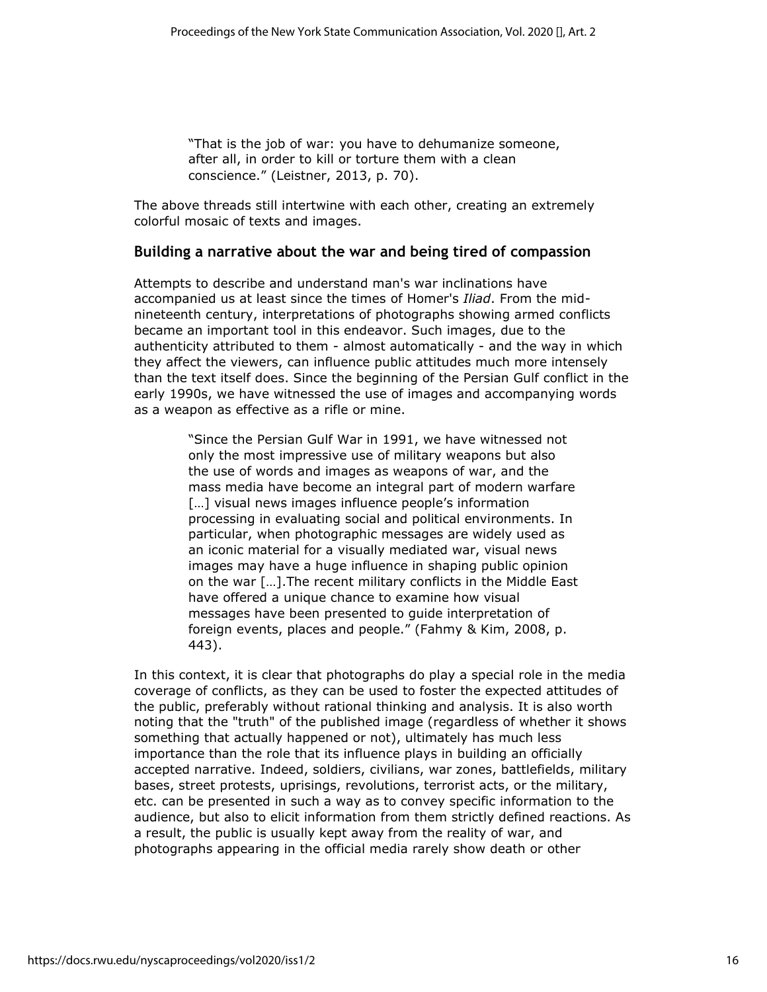"That is the job of war: you have to dehumanize someone, after all, in order to kill or torture them with a clean conscience." (Leistner, 2013, p. 70).

The above threads still intertwine with each other, creating an extremely colorful mosaic of texts and images.

#### **Building a narrative about the war and being tired of compassion**

Attempts to describe and understand man's war inclinations have accompanied us at least since the times of Homer's *Iliad*. From the midnineteenth century, interpretations of photographs showing armed conflicts became an important tool in this endeavor. Such images, due to the authenticity attributed to them - almost automatically - and the way in which they affect the viewers, can influence public attitudes much more intensely than the text itself does. Since the beginning of the Persian Gulf conflict in the early 1990s, we have witnessed the use of images and accompanying words as a weapon as effective as a rifle or mine.

> "Since the Persian Gulf War in 1991, we have witnessed not only the most impressive use of military weapons but also the use of words and images as weapons of war, and the mass media have become an integral part of modern warfare [...] visual news images influence people's information processing in evaluating social and political environments. In particular, when photographic messages are widely used as an iconic material for a visually mediated war, visual news images may have a huge influence in shaping public opinion on the war […].The recent military conflicts in the Middle East have offered a unique chance to examine how visual messages have been presented to guide interpretation of foreign events, places and people." (Fahmy & Kim, 2008, p. 443).

In this context, it is clear that photographs do play a special role in the media coverage of conflicts, as they can be used to foster the expected attitudes of the public, preferably without rational thinking and analysis. It is also worth noting that the "truth" of the published image (regardless of whether it shows something that actually happened or not), ultimately has much less importance than the role that its influence plays in building an officially accepted narrative. Indeed, soldiers, civilians, war zones, battlefields, military bases, street protests, uprisings, revolutions, terrorist acts, or the military, etc. can be presented in such a way as to convey specific information to the audience, but also to elicit information from them strictly defined reactions. As a result, the public is usually kept away from the reality of war, and photographs appearing in the official media rarely show death or other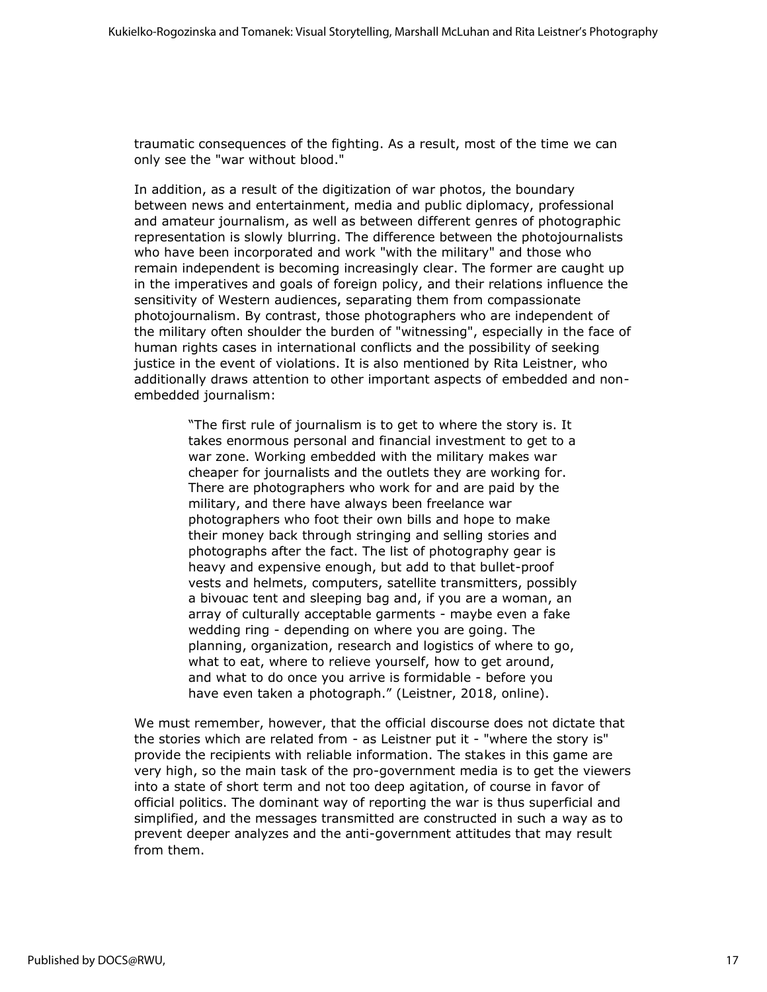traumatic consequences of the fighting. As a result, most of the time we can only see the "war without blood."

In addition, as a result of the digitization of war photos, the boundary between news and entertainment, media and public diplomacy, professional and amateur journalism, as well as between different genres of photographic representation is slowly blurring. The difference between the photojournalists who have been incorporated and work "with the military" and those who remain independent is becoming increasingly clear. The former are caught up in the imperatives and goals of foreign policy, and their relations influence the sensitivity of Western audiences, separating them from compassionate photojournalism. By contrast, those photographers who are independent of the military often shoulder the burden of "witnessing", especially in the face of human rights cases in international conflicts and the possibility of seeking justice in the event of violations. It is also mentioned by Rita Leistner, who additionally draws attention to other important aspects of embedded and nonembedded journalism:

> "The first rule of journalism is to get to where the story is. It takes enormous personal and financial investment to get to a war zone. Working embedded with the military makes war cheaper for journalists and the outlets they are working for. There are photographers who work for and are paid by the military, and there have always been freelance war photographers who foot their own bills and hope to make their money back through stringing and selling stories and photographs after the fact. The list of photography gear is heavy and expensive enough, but add to that bullet-proof vests and helmets, computers, satellite transmitters, possibly a bivouac tent and sleeping bag and, if you are a woman, an array of culturally acceptable garments - maybe even a fake wedding ring - depending on where you are going. The planning, organization, research and logistics of where to go, what to eat, where to relieve yourself, how to get around, and what to do once you arrive is formidable - before you have even taken a photograph." (Leistner, 2018, online).

We must remember, however, that the official discourse does not dictate that the stories which are related from - as Leistner put it - "where the story is" provide the recipients with reliable information. The stakes in this game are very high, so the main task of the pro-government media is to get the viewers into a state of short term and not too deep agitation, of course in favor of official politics. The dominant way of reporting the war is thus superficial and simplified, and the messages transmitted are constructed in such a way as to prevent deeper analyzes and the anti-government attitudes that may result from them.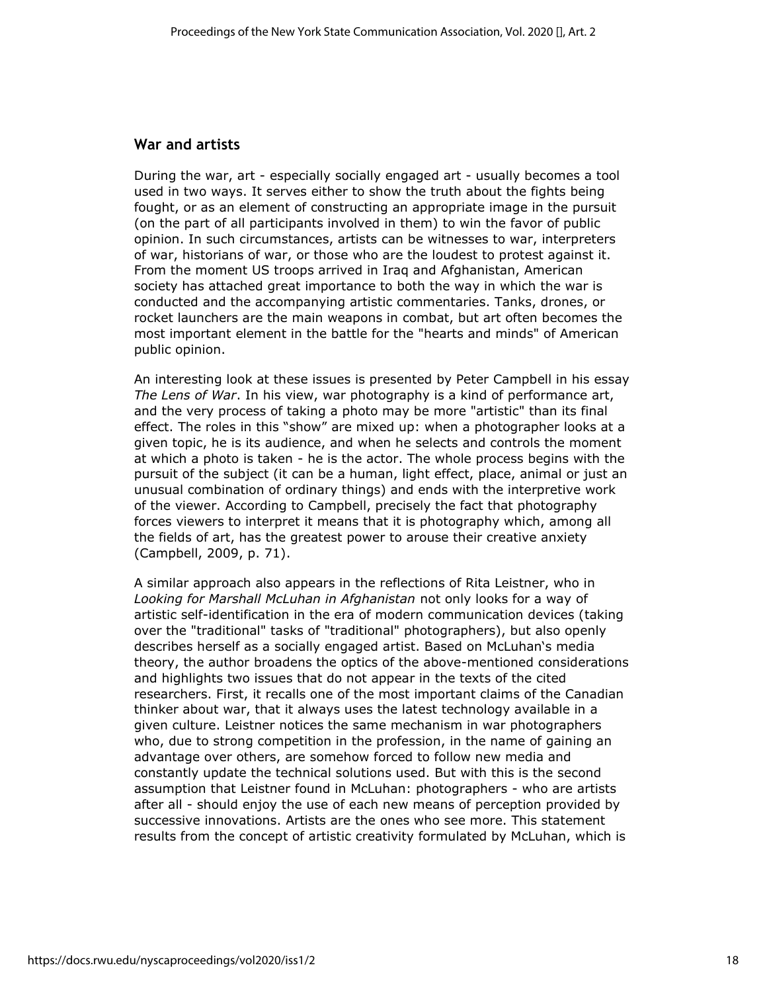#### **War and artists**

During the war, art - especially socially engaged art - usually becomes a tool used in two ways. It serves either to show the truth about the fights being fought, or as an element of constructing an appropriate image in the pursuit (on the part of all participants involved in them) to win the favor of public opinion. In such circumstances, artists can be witnesses to war, interpreters of war, historians of war, or those who are the loudest to protest against it. From the moment US troops arrived in Iraq and Afghanistan, American society has attached great importance to both the way in which the war is conducted and the accompanying artistic commentaries. Tanks, drones, or rocket launchers are the main weapons in combat, but art often becomes the most important element in the battle for the "hearts and minds" of American public opinion.

An interesting look at these issues is presented by Peter Campbell in his essay *The Lens of War*. In his view, war photography is a kind of performance art, and the very process of taking a photo may be more "artistic" than its final effect. The roles in this "show" are mixed up: when a photographer looks at a given topic, he is its audience, and when he selects and controls the moment at which a photo is taken - he is the actor. The whole process begins with the pursuit of the subject (it can be a human, light effect, place, animal or just an unusual combination of ordinary things) and ends with the interpretive work of the viewer. According to Campbell, precisely the fact that photography forces viewers to interpret it means that it is photography which, among all the fields of art, has the greatest power to arouse their creative anxiety (Campbell, 2009, p. 71).

A similar approach also appears in the reflections of Rita Leistner, who in *Looking for Marshall McLuhan in Afghanistan* not only looks for a way of artistic self-identification in the era of modern communication devices (taking over the "traditional" tasks of "traditional" photographers), but also openly describes herself as a socially engaged artist. Based on McLuhan's media theory, the author broadens the optics of the above-mentioned considerations and highlights two issues that do not appear in the texts of the cited researchers. First, it recalls one of the most important claims of the Canadian thinker about war, that it always uses the latest technology available in a given culture. Leistner notices the same mechanism in war photographers who, due to strong competition in the profession, in the name of gaining an advantage over others, are somehow forced to follow new media and constantly update the technical solutions used. But with this is the second assumption that Leistner found in McLuhan: photographers - who are artists after all - should enjoy the use of each new means of perception provided by successive innovations. Artists are the ones who see more. This statement results from the concept of artistic creativity formulated by McLuhan, which is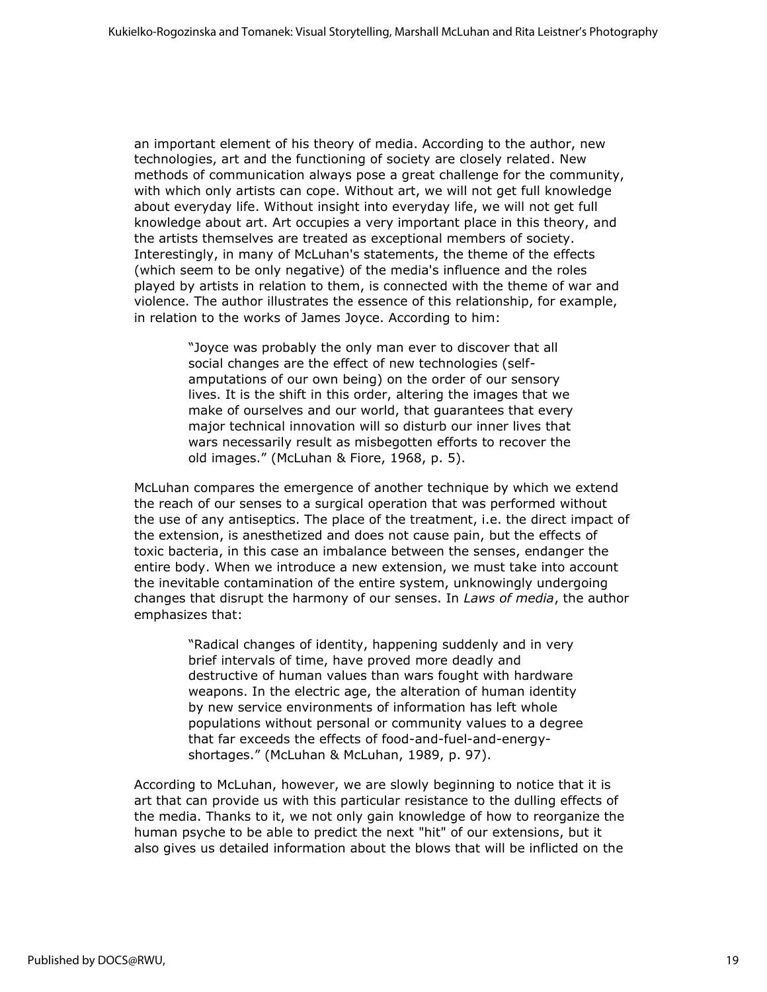an important element of his theory of media. According to the author, new technologies, art and the functioning of society are closely related. New methods of communication always pose a great challenge for the community, with which only artists can cope. Without art, we will not get full knowledge about everyday life. Without insight into everyday life, we will not get full knowledge about art. Art occupies a very important place in this theory, and the artists themselves are treated as exceptional members of society. Interestingly, in many of McLuhan's statements, the theme of the effects (which seem to be only negative) of the media's influence and the roles played by artists in relation to them, is connected with the theme of war and violence. The author illustrates the essence of this relationship, for example, in relation to the works of James Joyce. According to him:

> "Joyce was probably the only man ever to discover that all social changes are the effect of new technologies (selfamputations of our own being) on the order of our sensory lives. It is the shift in this order, altering the images that we make of ourselves and our world, that guarantees that every major technical innovation will so disturb our inner lives that wars necessarily result as misbegotten efforts to recover the old images." (McLuhan & Fiore, 1968, p. 5).

McLuhan compares the emergence of another technique by which we extend the reach of our senses to a surgical operation that was performed without the use of any antiseptics. The place of the treatment, i.e. the direct impact of the extension, is anesthetized and does not cause pain, but the effects of toxic bacteria, in this case an imbalance between the senses, endanger the entire body. When we introduce a new extension, we must take into account the inevitable contamination of the entire system, unknowingly undergoing changes that disrupt the harmony of our senses. In *Laws of media*, the author emphasizes that:

> "Radical changes of identity, happening suddenly and in very brief intervals of time, have proved more deadly and destructive of human values than wars fought with hardware weapons. In the electric age, the alteration of human identity by new service environments of information has left whole populations without personal or community values to a degree that far exceeds the effects of food-and-fuel-and-energyshortages." (McLuhan & McLuhan, 1989, p. 97).

According to McLuhan, however, we are slowly beginning to notice that it is art that can provide us with this particular resistance to the dulling effects of the media. Thanks to it, we not only gain knowledge of how to reorganize the human psyche to be able to predict the next "hit" of our extensions, but it also gives us detailed information about the blows that will be inflicted on the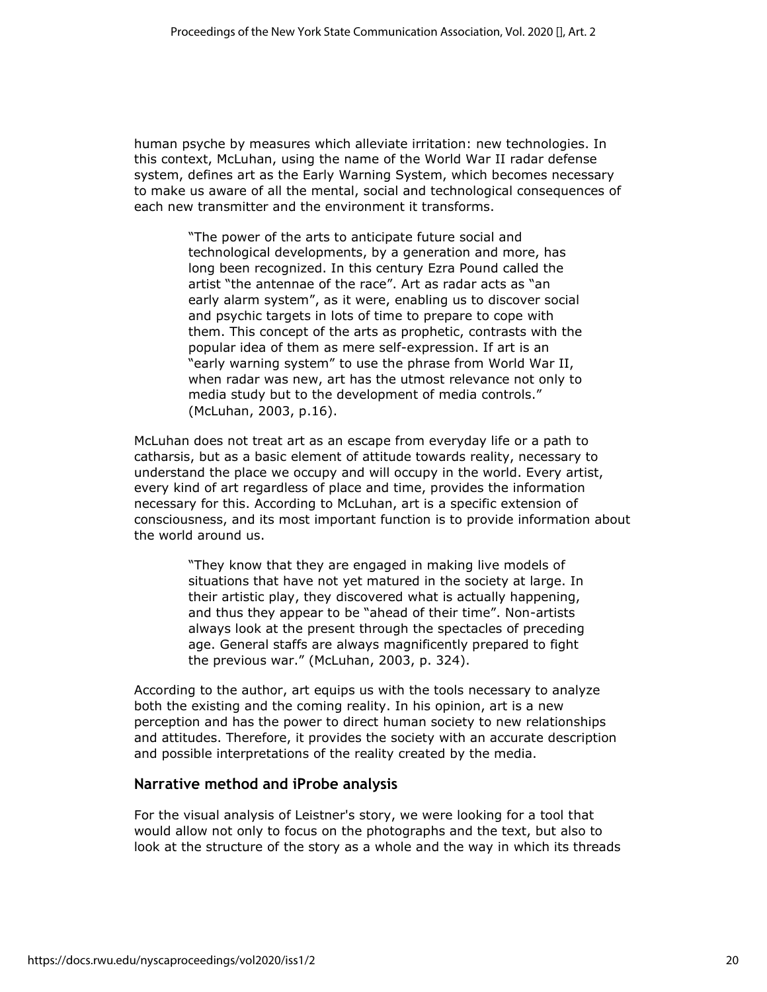human psyche by measures which alleviate irritation: new technologies. In this context, McLuhan, using the name of the World War II radar defense system, defines art as the Early Warning System, which becomes necessary to make us aware of all the mental, social and technological consequences of each new transmitter and the environment it transforms.

> "The power of the arts to anticipate future social and technological developments, by a generation and more, has long been recognized. In this century Ezra Pound called the artist "the antennae of the race". Art as radar acts as "an early alarm system", as it were, enabling us to discover social and psychic targets in lots of time to prepare to cope with them. This concept of the arts as prophetic, contrasts with the popular idea of them as mere self-expression. If art is an "early warning system" to use the phrase from World War II, when radar was new, art has the utmost relevance not only to media study but to the development of media controls." (McLuhan, 2003, p.16).

McLuhan does not treat art as an escape from everyday life or a path to catharsis, but as a basic element of attitude towards reality, necessary to understand the place we occupy and will occupy in the world. Every artist, every kind of art regardless of place and time, provides the information necessary for this. According to McLuhan, art is a specific extension of consciousness, and its most important function is to provide information about the world around us.

> "They know that they are engaged in making live models of situations that have not yet matured in the society at large. In their artistic play, they discovered what is actually happening, and thus they appear to be "ahead of their time". Non-artists always look at the present through the spectacles of preceding age. General staffs are always magnificently prepared to fight the previous war." (McLuhan, 2003, p. 324).

According to the author, art equips us with the tools necessary to analyze both the existing and the coming reality. In his opinion, art is a new perception and has the power to direct human society to new relationships and attitudes. Therefore, it provides the society with an accurate description and possible interpretations of the reality created by the media.

#### **Narrative method and iProbe analysis**

For the visual analysis of Leistner's story, we were looking for a tool that would allow not only to focus on the photographs and the text, but also to look at the structure of the story as a whole and the way in which its threads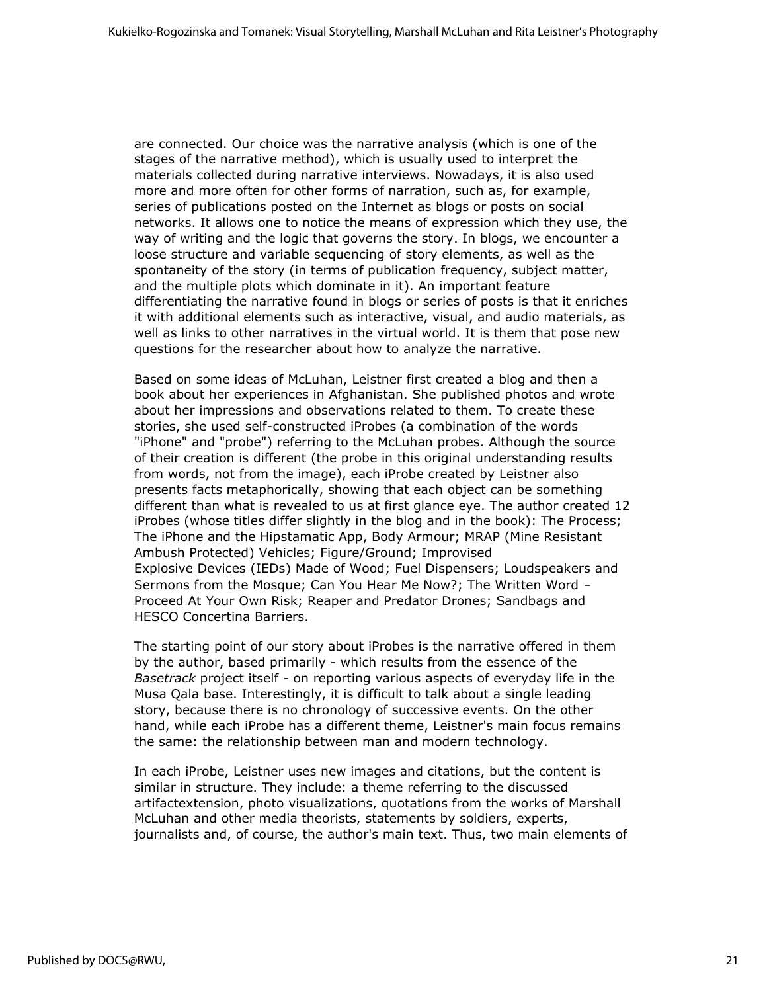are connected. Our choice was the narrative analysis (which is one of the stages of the narrative method), which is usually used to interpret the materials collected during narrative interviews. Nowadays, it is also used more and more often for other forms of narration, such as, for example, series of publications posted on the Internet as blogs or posts on social networks. It allows one to notice the means of expression which they use, the way of writing and the logic that governs the story. In blogs, we encounter a loose structure and variable sequencing of story elements, as well as the spontaneity of the story (in terms of publication frequency, subject matter, and the multiple plots which dominate in it). An important feature differentiating the narrative found in blogs or series of posts is that it enriches it with additional elements such as interactive, visual, and audio materials, as well as links to other narratives in the virtual world. It is them that pose new questions for the researcher about how to analyze the narrative.

Based on some ideas of McLuhan, Leistner first created a blog and then a book about her experiences in Afghanistan. She published photos and wrote about her impressions and observations related to them. To create these stories, she used self-constructed iProbes (a combination of the words "iPhone" and "probe") referring to the McLuhan probes. Although the source of their creation is different (the probe in this original understanding results from words, not from the image), each iProbe created by Leistner also presents facts metaphorically, showing that each object can be something different than what is revealed to us at first glance eye. The author created 12 iProbes (whose titles differ slightly in the blog and in the book): The Process; The iPhone and the Hipstamatic App, Body Armour; MRAP (Mine Resistant Ambush Protected) Vehicles; Figure/Ground; Improvised Explosive Devices (IEDs) Made of Wood; Fuel Dispensers; Loudspeakers and Sermons from the Mosque; Can You Hear Me Now?; The Written Word – Proceed At Your Own Risk; Reaper and Predator Drones; Sandbags and HESCO Concertina Barriers.

The starting point of our story about iProbes is the narrative offered in them by the author, based primarily - which results from the essence of the *Basetrack* project itself - on reporting various aspects of everyday life in the Musa Qala base. Interestingly, it is difficult to talk about a single leading story, because there is no chronology of successive events. On the other hand, while each iProbe has a different theme, Leistner's main focus remains the same: the relationship between man and modern technology.

In each iProbe, Leistner uses new images and citations, but the content is similar in structure. They include: a theme referring to the discussed artifactextension, photo visualizations, quotations from the works of Marshall McLuhan and other media theorists, statements by soldiers, experts, journalists and, of course, the author's main text. Thus, two main elements of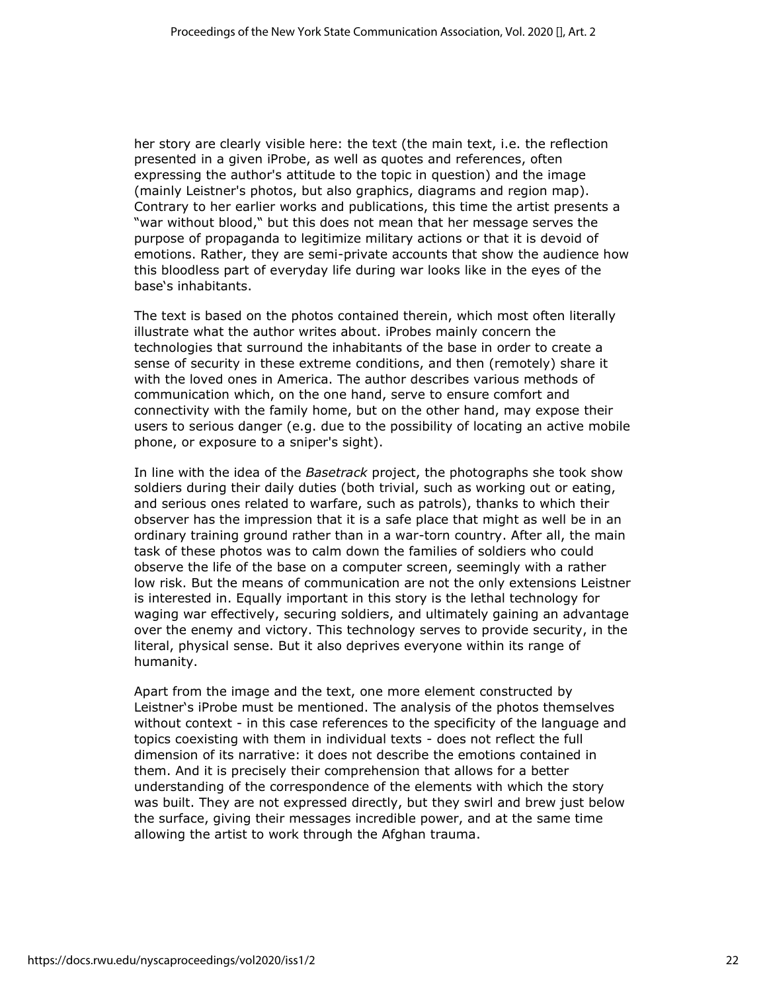her story are clearly visible here: the text (the main text, i.e. the reflection presented in a given iProbe, as well as quotes and references, often expressing the author's attitude to the topic in question) and the image (mainly Leistner's photos, but also graphics, diagrams and region map). Contrary to her earlier works and publications, this time the artist presents a "war without blood," but this does not mean that her message serves the purpose of propaganda to legitimize military actions or that it is devoid of emotions. Rather, they are semi-private accounts that show the audience how this bloodless part of everyday life during war looks like in the eyes of the base's inhabitants.

The text is based on the photos contained therein, which most often literally illustrate what the author writes about. iProbes mainly concern the technologies that surround the inhabitants of the base in order to create a sense of security in these extreme conditions, and then (remotely) share it with the loved ones in America. The author describes various methods of communication which, on the one hand, serve to ensure comfort and connectivity with the family home, but on the other hand, may expose their users to serious danger (e.g. due to the possibility of locating an active mobile phone, or exposure to a sniper's sight).

In line with the idea of the *Basetrack* project, the photographs she took show soldiers during their daily duties (both trivial, such as working out or eating, and serious ones related to warfare, such as patrols), thanks to which their observer has the impression that it is a safe place that might as well be in an ordinary training ground rather than in a war-torn country. After all, the main task of these photos was to calm down the families of soldiers who could observe the life of the base on a computer screen, seemingly with a rather low risk. But the means of communication are not the only extensions Leistner is interested in. Equally important in this story is the lethal technology for waging war effectively, securing soldiers, and ultimately gaining an advantage over the enemy and victory. This technology serves to provide security, in the literal, physical sense. But it also deprives everyone within its range of humanity.

Apart from the image and the text, one more element constructed by Leistner's iProbe must be mentioned. The analysis of the photos themselves without context - in this case references to the specificity of the language and topics coexisting with them in individual texts - does not reflect the full dimension of its narrative: it does not describe the emotions contained in them. And it is precisely their comprehension that allows for a better understanding of the correspondence of the elements with which the story was built. They are not expressed directly, but they swirl and brew just below the surface, giving their messages incredible power, and at the same time allowing the artist to work through the Afghan trauma.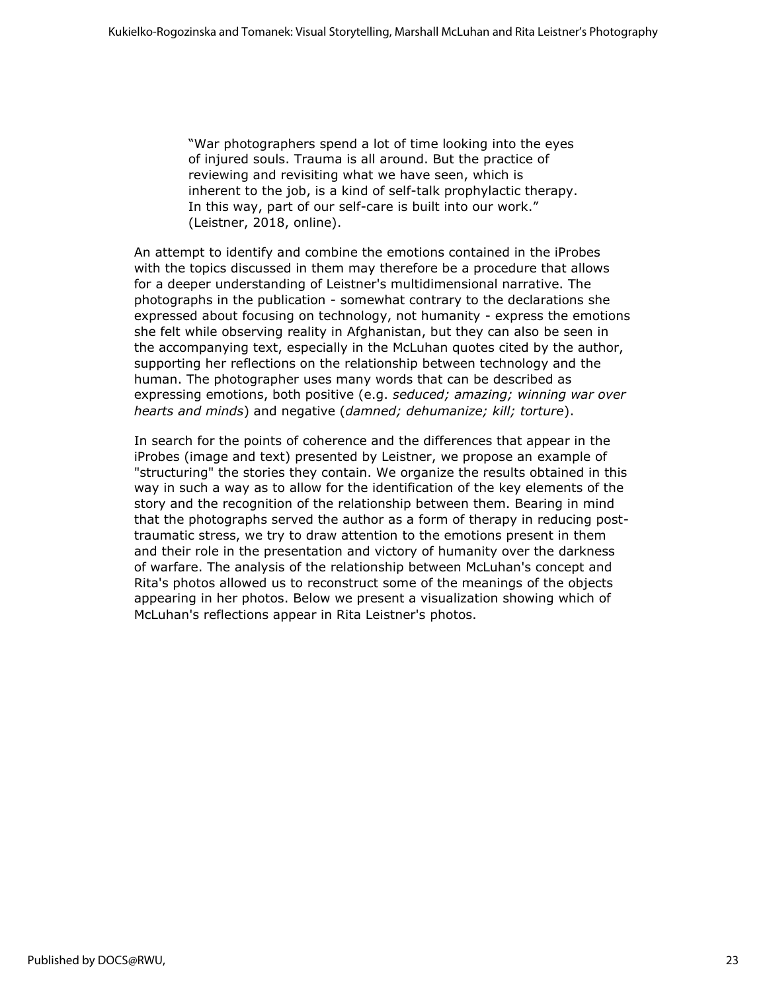"War photographers spend a lot of time looking into the eyes of injured souls. Trauma is all around. But the practice of reviewing and revisiting what we have seen, which is inherent to the job, is a kind of self-talk prophylactic therapy. In this way, part of our self-care is built into our work." (Leistner, 2018, online).

An attempt to identify and combine the emotions contained in the iProbes with the topics discussed in them may therefore be a procedure that allows for a deeper understanding of Leistner's multidimensional narrative. The photographs in the publication - somewhat contrary to the declarations she expressed about focusing on technology, not humanity - express the emotions she felt while observing reality in Afghanistan, but they can also be seen in the accompanying text, especially in the McLuhan quotes cited by the author, supporting her reflections on the relationship between technology and the human. The photographer uses many words that can be described as expressing emotions, both positive (e.g. *seduced; amazing; winning war over hearts and minds*) and negative (*damned; dehumanize; kill; torture*).

In search for the points of coherence and the differences that appear in the iProbes (image and text) presented by Leistner, we propose an example of "structuring" the stories they contain. We organize the results obtained in this way in such a way as to allow for the identification of the key elements of the story and the recognition of the relationship between them. Bearing in mind that the photographs served the author as a form of therapy in reducing posttraumatic stress, we try to draw attention to the emotions present in them and their role in the presentation and victory of humanity over the darkness of warfare. The analysis of the relationship between McLuhan's concept and Rita's photos allowed us to reconstruct some of the meanings of the objects appearing in her photos. Below we present a visualization showing which of McLuhan's reflections appear in Rita Leistner's photos.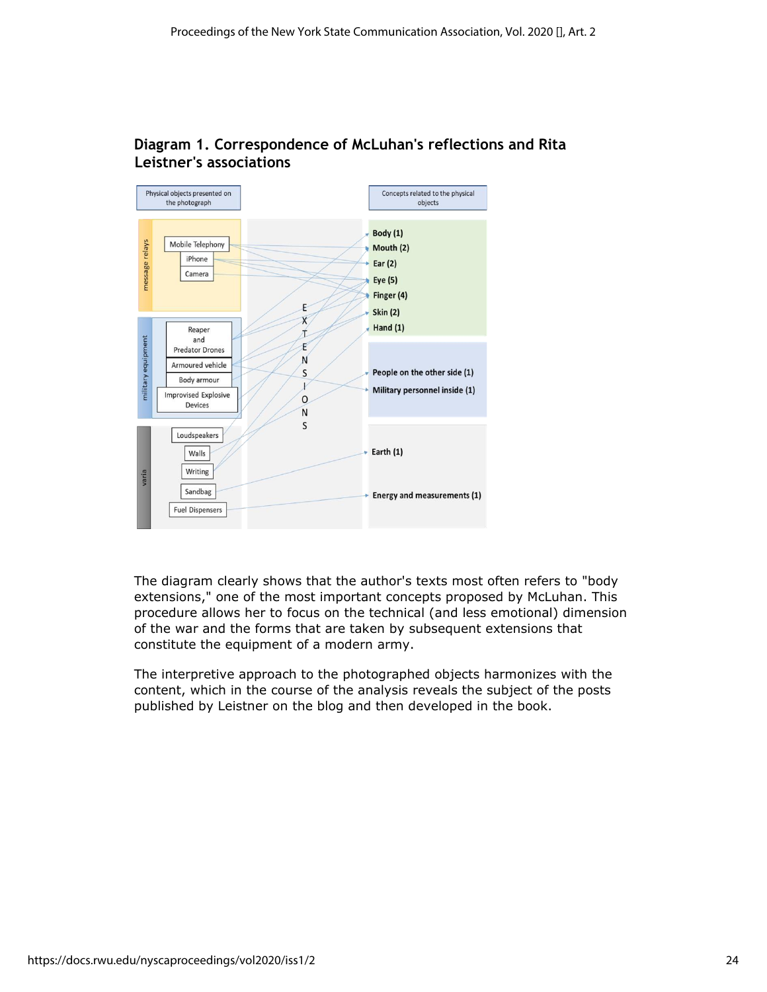

## **Diagram 1. Correspondence of McLuhan's reflections and Rita Leistner's associations**

The diagram clearly shows that the author's texts most often refers to "body extensions," one of the most important concepts proposed by McLuhan. This procedure allows her to focus on the technical (and less emotional) dimension of the war and the forms that are taken by subsequent extensions that constitute the equipment of a modern army.

The interpretive approach to the photographed objects harmonizes with the content, which in the course of the analysis reveals the subject of the posts published by Leistner on the blog and then developed in the book.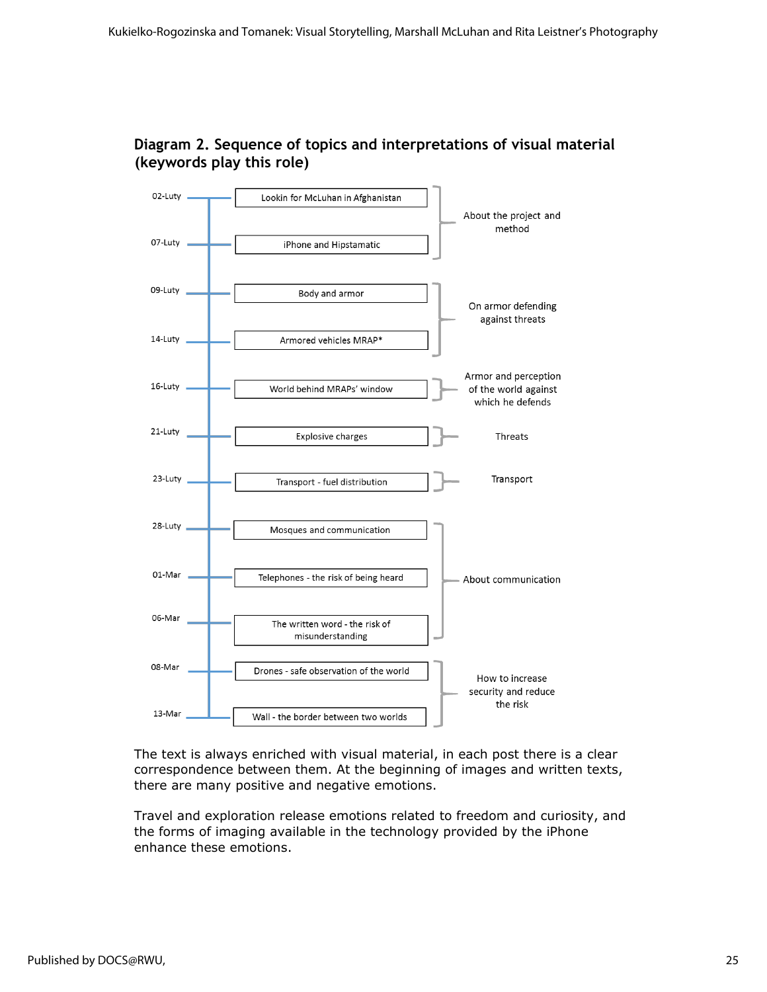



The text is always enriched with visual material, in each post there is a clear correspondence between them. At the beginning of images and written texts, there are many positive and negative emotions.

Travel and exploration release emotions related to freedom and curiosity, and the forms of imaging available in the technology provided by the iPhone enhance these emotions.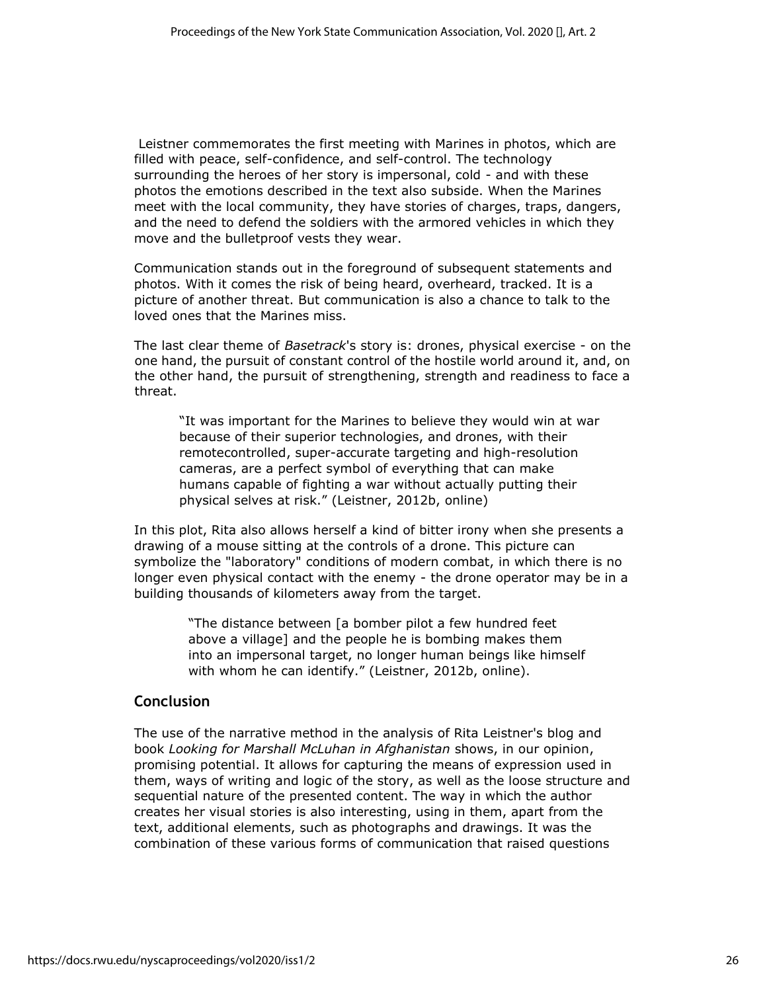Leistner commemorates the first meeting with Marines in photos, which are filled with peace, self-confidence, and self-control. The technology surrounding the heroes of her story is impersonal, cold - and with these photos the emotions described in the text also subside. When the Marines meet with the local community, they have stories of charges, traps, dangers, and the need to defend the soldiers with the armored vehicles in which they move and the bulletproof vests they wear.

Communication stands out in the foreground of subsequent statements and photos. With it comes the risk of being heard, overheard, tracked. It is a picture of another threat. But communication is also a chance to talk to the loved ones that the Marines miss.

The last clear theme of *Basetrack*'s story is: drones, physical exercise - on the one hand, the pursuit of constant control of the hostile world around it, and, on the other hand, the pursuit of strengthening, strength and readiness to face a threat.

"It was important for the Marines to believe they would win at war because of their superior technologies, and drones, with their remotecontrolled, super-accurate targeting and high-resolution cameras, are a perfect symbol of everything that can make humans capable of fighting a war without actually putting their physical selves at risk." (Leistner, 2012b, online)

In this plot, Rita also allows herself a kind of bitter irony when she presents a drawing of a mouse sitting at the controls of a drone. This picture can symbolize the "laboratory" conditions of modern combat, in which there is no longer even physical contact with the enemy - the drone operator may be in a building thousands of kilometers away from the target.

> "The distance between [a bomber pilot a few hundred feet above a village] and the people he is bombing makes them into an impersonal target, no longer human beings like himself with whom he can identify." (Leistner, 2012b, online).

#### **Conclusion**

The use of the narrative method in the analysis of Rita Leistner's blog and book *Looking for Marshall McLuhan in Afghanistan* shows, in our opinion, promising potential. It allows for capturing the means of expression used in them, ways of writing and logic of the story, as well as the loose structure and sequential nature of the presented content. The way in which the author creates her visual stories is also interesting, using in them, apart from the text, additional elements, such as photographs and drawings. It was the combination of these various forms of communication that raised questions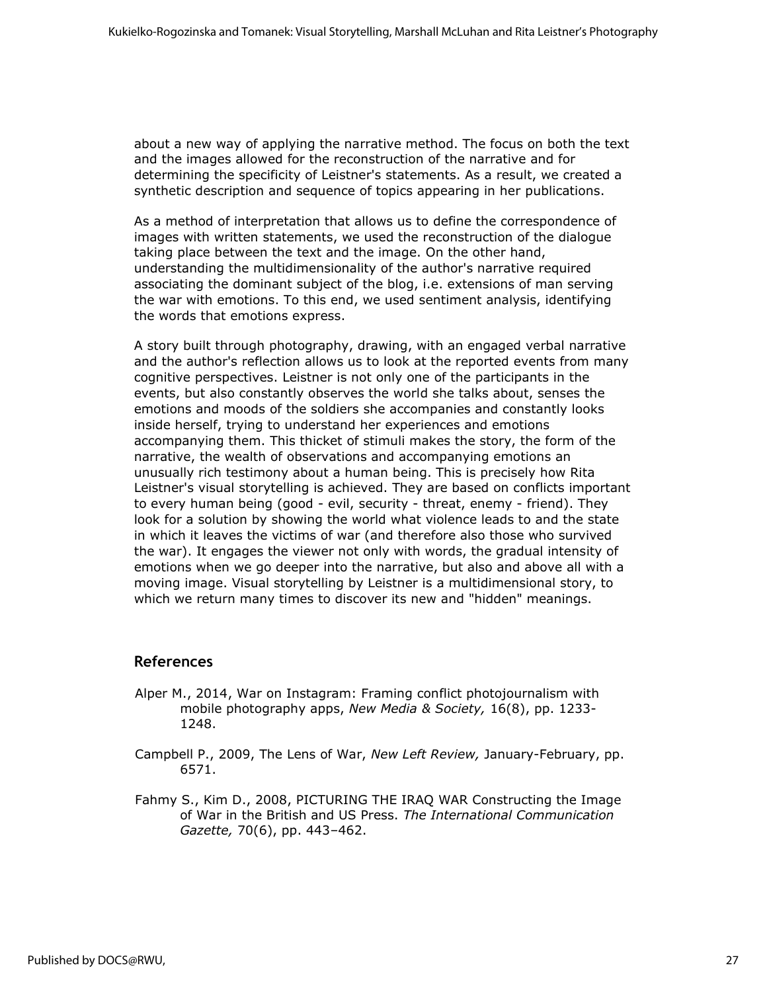about a new way of applying the narrative method. The focus on both the text and the images allowed for the reconstruction of the narrative and for determining the specificity of Leistner's statements. As a result, we created a synthetic description and sequence of topics appearing in her publications.

As a method of interpretation that allows us to define the correspondence of images with written statements, we used the reconstruction of the dialogue taking place between the text and the image. On the other hand, understanding the multidimensionality of the author's narrative required associating the dominant subject of the blog, i.e. extensions of man serving the war with emotions. To this end, we used sentiment analysis, identifying the words that emotions express.

A story built through photography, drawing, with an engaged verbal narrative and the author's reflection allows us to look at the reported events from many cognitive perspectives. Leistner is not only one of the participants in the events, but also constantly observes the world she talks about, senses the emotions and moods of the soldiers she accompanies and constantly looks inside herself, trying to understand her experiences and emotions accompanying them. This thicket of stimuli makes the story, the form of the narrative, the wealth of observations and accompanying emotions an unusually rich testimony about a human being. This is precisely how Rita Leistner's visual storytelling is achieved. They are based on conflicts important to every human being (good - evil, security - threat, enemy - friend). They look for a solution by showing the world what violence leads to and the state in which it leaves the victims of war (and therefore also those who survived the war). It engages the viewer not only with words, the gradual intensity of emotions when we go deeper into the narrative, but also and above all with a moving image. Visual storytelling by Leistner is a multidimensional story, to which we return many times to discover its new and "hidden" meanings.

#### **References**

- Alper M., 2014, War on Instagram: Framing conflict photojournalism with mobile photography apps, *New Media & Society,* 16(8), pp. 1233- 1248.
- Campbell P., 2009, The Lens of War, *New Left Review,* January-February, pp. 6571.
- Fahmy S., Kim D., 2008, PICTURING THE IRAQ WAR Constructing the Image of War in the British and US Press. *The International Communication Gazette,* 70(6), pp. 443–462.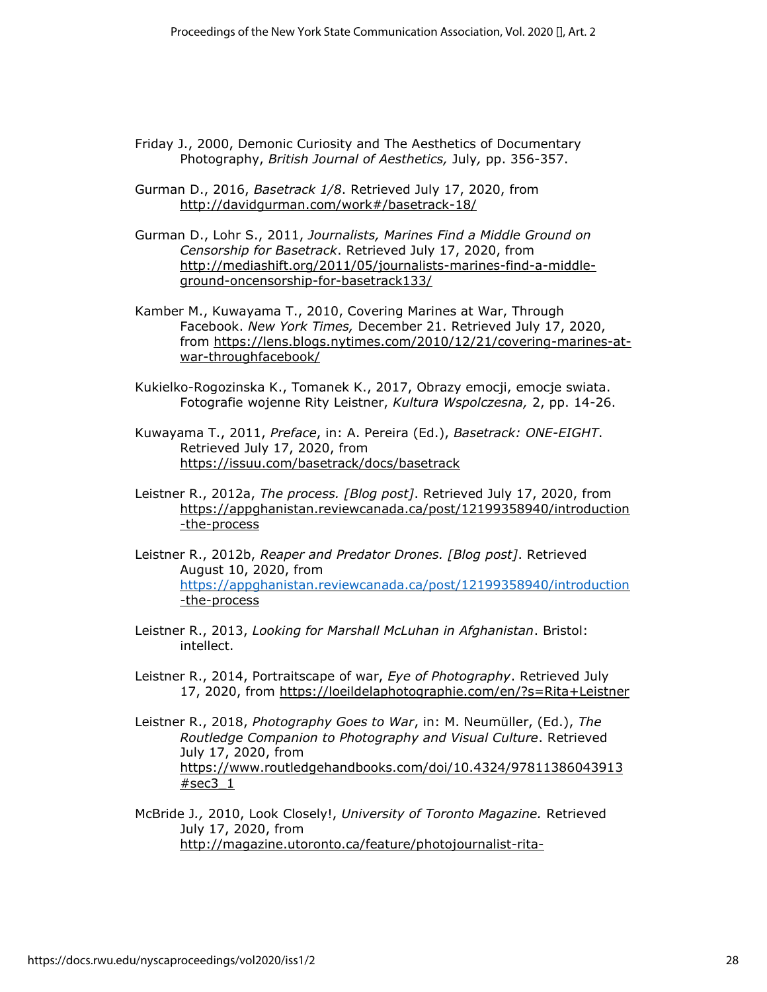- Friday J., 2000, Demonic Curiosity and The Aesthetics of Documentary Photography, *British Journal of Aesthetics,* July*,* pp. 356-357.
- Gurman D., 2016, *Basetrack 1/8*. Retrieved July 17, 2020, from <http://davidgurman.com/work#/basetrack-18/>
- Gurman D., Lohr S., 2011, *Journalists, Marines Find a Middle Ground on Censorship for Basetrack*. Retrieved July 17, 2020, from [http://mediashift.org/2011/05/journalists-marines-find-a-middle](http://mediashift.org/2011/05/journalists-marines-find-a-middle-ground-on-censorship-for-basetrack133/)[ground-oncensorship-for-basetrack133/](http://mediashift.org/2011/05/journalists-marines-find-a-middle-ground-on-censorship-for-basetrack133/)
- Kamber M., Kuwayama T., 2010, Covering Marines at War, Through Facebook. *New York Times,* December 21. Retrieved July 17, 2020, from [https://lens.blogs.nytimes.com/2010/12/21/covering-marines-at](https://lens.blogs.nytimes.com/2010/12/21/covering-marines-at-war-through-facebook/)[war-throughfacebook/](https://lens.blogs.nytimes.com/2010/12/21/covering-marines-at-war-through-facebook/)
- Kukielko-Rogozinska K., Tomanek K., 2017, Obrazy emocji, emocje swiata. Fotografie wojenne Rity Leistner, *Kultura Wspolczesna,* 2, pp. 14-26.

Kuwayama T., 2011, *Preface*, in: A. Pereira (Ed.), *Basetrack: ONE-EIGHT*. Retrieved July 17, 2020, from <https://issuu.com/basetrack/docs/basetrack>

- Leistner R., 2012a, *The process. [Blog post]*. Retrieved July 17, 2020, from [https://appghanistan.reviewcanada.ca/post/12199358940/introduction](https://appghanistan.reviewcanada.ca/post/12199358940/introduction-the-process) [-the-process](https://appghanistan.reviewcanada.ca/post/12199358940/introduction-the-process)
- Leistner R., 2012b, *Reaper and Predator Drones. [Blog post]*. Retrieved August 10, 2020, from <https://appghanistan.reviewcanada.ca/post/12199358940/introduction> [-the-process](https://appghanistan.reviewcanada.ca/post/12199358940/introduction-the-process)
- Leistner R., 2013, *Looking for Marshall McLuhan in Afghanistan*. Bristol: intellect.
- Leistner R., 2014, Portraitscape of war, *Eye of Photography*. Retrieved July 17, 2020, from<https://loeildelaphotographie.com/en/?s=Rita+Leistner>
- Leistner R., 2018, *Photography Goes to War*, in: M. Neumüller, (Ed.), *The Routledge Companion to Photography and Visual Culture*. Retrieved July 17, 2020, from [https://www.routledgehandbooks.com/doi/10.4324/97811386043913](https://www.routledgehandbooks.com/doi/10.4324/9781138604391-3#sec3_1)  $#sec3<sub>1</sub>$
- McBride J*.,* 2010, Look Closely!, *University of Toronto Magazine.* Retrieved July 17, 2020, from [http://magazine.utoronto.ca/feature/photojournalist-rita-](http://magazine.utoronto.ca/feature/photojournalist-rita-leistner-photos-of-native-communities/nggallery/image/7-photos-by-rita-leistner/)